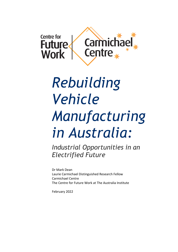

# *Rebuilding Vehicle Manufacturing in Australia:*

*Industrial Opportunities in an Electrified Future*

Dr Mark Dean Laurie Carmichael Distinguished Research Fellow Carmichael Centre The Centre for Future Work at The Australia Institute

February 2022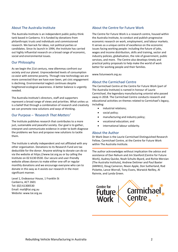#### About The Australia Institute

The Australia Institute is an independent public policy think tank based in Canberra. It is funded by donations from philanthropic trusts and individuals and commissioned research. We barrack for ideas, not political parties or candidates. Since its launch in 1994, the Institute has carried out highly influential research on a broad range of economic, social and environmental issues.

#### Our Philosophy

As we begin the 21st century, new dilemmas confront our society and our planet. Unprecedented levels of consumption co-exist with extreme poverty. Through new technology we are more connected than we have ever been, yet civic engagement is declining. Environmental neglect continues despite heightened ecological awareness. A better balance is urgently needed.

The Australia Institute's directors, staff and supporters represent a broad range of views and priorities. What unites us is a belief that through a combination of research and creativity we can promote new solutions and ways of thinking.

#### Our Purpose – *'Research That Matters'*

The Institute publishes research that contributes to a more just, sustainable and peaceful society. Our goal is to gather, interpret and communicate evidence in order to both diagnose the problems we face and propose new solutions to tackle them.

The Institute is wholly independent and not affiliated with any other organisation. Donations to its Research Fund are tax deductible for the donor. Anyone wishing to donate can do so via the website at https://www.tai.org.au or by calling the Institute on 02 6130 0530. Our secure and user-friendly website allows donors to make either one-off or regular monthly donations and we encourage everyone who can to donate in this way as it assists our research in the most significant manner.

Level 1, Endeavour House, 1 Franklin St Canberra, ACT 2601 Tel: (02) 61300530 Email: mail@tai.org.au Website: www.tai.org.au

#### About the Centre for Future Work

The Centre for Future Work is a research centre, housed within the Australia Institute, to conduct and publish progressive economic research on work, employment, and labour markets. It serves as a unique centre of excellence on the economic issues facing working people: including the future of jobs, wages and income distribution, skills and training, sector and industry policies, globalisation, the role of government, public services, and more. The Centre also develops timely and practical policy proposals to help make the world of work better for working people and their families.

www.futurework.org.au

#### About the Carmichael Centre

The Carmichael Centre at the Centre for Future Work (part of The Australia Institute) is named in honour of Laurie Carmichael, the legendary manufacturing unionist who passed away in 2018. The Carmichael Centre conducts research and educational activities on themes related to Carmichael's legacy, including:

- industrial relations;
- social policy;
- manufacturing and industry policy;
- vocational education; and
- international labour solidarity.

#### About the Author

Dr Mark Dean is the Laurie Carmichael Distinguished Research Fellow, Carmichael Centre, at the Centre for Future Work within The Australia Institute.

The author acknowledges without implication the advice and assistance of Dan Nahum and Jim Stanford (Centre for Future Work), Audrey Quicke, Noah Schultz-Byard, and Richie Merzian (The Australia Institute), Andrew Dettmer and Paul Baxter (AMWU), Doug Cameron, Nixon Apple, Don Sutherland, Rod Pickette, Lance Worrall, Tony Evans, Warwick Neilley, Al Rainnie, and Lynda Green.

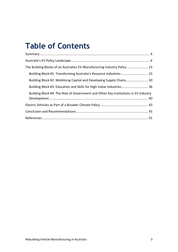# **Table of Contents**

| The Building Blocks of an Australian EV Manufacturing Industry Policy  23           |
|-------------------------------------------------------------------------------------|
| Building Block #1: Transforming Australia's Resource Industries 23                  |
| Building Block #2: Mobilising Capital and Developing Supply Chains 30               |
| Building Block #3: Education and Skills for High-Value Industries  36               |
| Building Block #4: The Role of Government and Other Key Institutions in EV Industry |
|                                                                                     |
|                                                                                     |
|                                                                                     |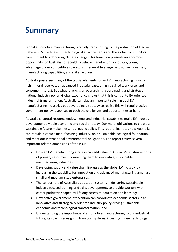# <span id="page-3-0"></span>**Summary**

Global automotive manufacturing is rapidly transitioning to the production of Electric Vehicles (EVs) in line with technological advancements and the global community's commitment to addressing climate change. This transition presents an enormous opportunity for Australia to rebuild its vehicle manufacturing industry, taking advantage of our competitive strengths in renewable energy, extractive industries, manufacturing capabilities, and skilled workers.

Australia possesses many of the crucial elements for an EV manufacturing industry: rich mineral reserves, an advanced industrial base, a highly skilled workforce, and consumer interest. But what it lacks is an overarching, coordinating and strategic national industry policy. Global experience shows that this is central to EV-oriented industrial transformation. Australia can play an important role in global EV manufacturing industries but developing a strategy to realise this will require active government policy responses to both the challenges and opportunities at hand.

Australia's natural resource endowments and industrial capabilities make EV industry development a viable economic and social strategy. Our moral obligations to create a sustainable future make it essential public policy. This report illustrates how Australia can rebuild a vehicle manufacturing industry, on a sustainable ecological foundation, and meet our international environmental obligations. The report covers several important related dimensions of the issue:

- How an EV manufacturing strategy can add value to Australia's existing exports of primary resources – connecting them to innovative, sustainable manufacturing industries;
- Developing supply and value chain linkages to the global EV industry by increasing the capability for innovation and advanced manufacturing amongst small and medium-sized enterprises;
- The central role of Australia's education systems in delivering sustainable industry-focused training and skills development, to provide workers with career pathways shaped by lifelong access to education and learning;
- How active government intervention can coordinate economic sectors in an innovative and strategically oriented industry policy driving sustainable economic and technological transformation; and
- Understanding the importance of automotive manufacturing to our industrial future, its role in redesigning transport systems, investing in new technology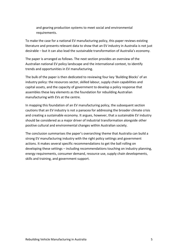and gearing production systems to meet social and environmental requirements.

To make the case for a national EV manufacturing policy, this paper reviews existing literature and presents relevant data to show that an EV industry in Australia is not just desirable – but it can also lead the sustainable transformation of Australia's economy.

The paper is arranged as follows. The next section provides an overview of the Australian national EV policy landscape and the international context, to identify trends and opportunities in EV manufacturing.

The bulk of the paper is then dedicated to reviewing four key 'Building Blocks' of an industry policy: the resources sector, skilled labour, supply chain capabilities and capital assets, and the capacity of government to develop a policy response that assembles these key elements as the foundation for rebuilding Australian manufacturing with EVs at the centre.

In mapping this foundation of an EV manufacturing policy, the subsequent section cautions that an EV industry is not a panacea for addressing the broader climate crisis and creating a sustainable economy. It argues, however, that a sustainable EV industry should be considered as a major driver of industrial transformation alongside other positive cultural and environmental changes within Australian society.

The conclusion summarises the paper's overarching theme that Australia can build a strong EV manufacturing industry with the right policy settings and government actions. It makes several specific recommendations to get the ball rolling on developing these settings – including recommendations touching on industry planning, energy requirements, consumer demand, resource use, supply chain developments, skills and training, and government support.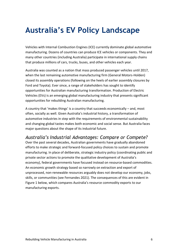# <span id="page-5-0"></span>**Australia's EV Policy Landscape**

Vehicles with Internal Combustion Engines (ICE) currently dominate global automotive manufacturing. Dozens of countries can produce ICE vehicles or components. They and many other countries (including Australia) participate in international supply chains that produce millions of cars, trucks, buses, and other vehicles each year.

Australia was counted as a nation that mass produced passenger vehicles until 2017, when the last remaining automotive manufacturing firm (General Motors-Holden) closed its assembly operations (following on the heels of earlier assembly closures by Ford and Toyota). Ever since, a range of stakeholders has sought to identify opportunities for Australian manufacturing transformation. Production of Electric Vehicles (EVs) is an emerging global manufacturing industry that presents significant opportunities for rebuilding Australian manufacturing.

A country that 'makes things' is a country that succeeds economically – and, most often, socially as well. Given Australia's industrial history, a transformation of automotive industries in step with the requirements of environmental sustainability and changing global tastes makes both economic and social sense. But Australia faces major questions about the shape of its industrial future.

# *Australia's Industrial Advantages: Compare or Compete?*

Over the past several decades, Australian governments have gradually abandoned efforts to make strategic and forward-focused policy choices to sustain and promote manufacturing. In place of deliberate, strategic industry policy (coordinating public and private sector actions to promote the qualitative development of Australia's economy), federal governments have focused instead on resource-based commodities. An economic growth strategy based so narrowly on extraction and export of unprocessed, non-renewable resources arguably does not develop our economy, jobs, skills, or communities (see Fernandes 2021). The consequences of this are evident in [Figure 1](#page-6-0) below, which compares Australia's resource commodity exports to our manufacturing exports.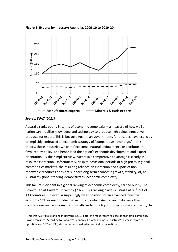

<span id="page-6-0"></span>**Figure 1: Exports by Industry: Australia, 2009-10 to 2019-20**

*Source: DFAT (2021).*

Australia ranks poorly in terms of economic complexity – a measure of how well a nation can mobilise knowledge and technology to produce high-value, innovative products for export. This is because Australian governments for decades have explicitly or implicitly embraced an economic strategy of 'comparative advantage.' In this theory, those industries which reflect some 'natural endowment', or attribute are favoured by policy, and hence lead the nation's economic development and export orientation. By this simplistic view, Australia's comparative advantage is clearly in resource extraction. Unfortunately, despite occasional periods of high prices in global commodities markets, the resulting reliance on extraction and export of nonrenewable resources does not support long-term economic growth, stability, or, as Australia's global standing demonstrates, economic complexity.

This failure is evident in a global ranking of economic complexity, carried out by The Growth Lab at Harvard University (2022). This ranking places Australia at 86<sup>th</sup> out of 133 countries surveyed: a surprisingly weak position for an advanced industrial economy.<sup>1</sup> Other major industrial nations (to which Australian politicians often compare our own economy) rank mostly within the top 20 for economic complexity. In

 $1$  This was Australia's ranking in Harvard's 2019 data, the most recent release of economic complexity world rankings. According to Harvard's Economic Complexity Index, Australia's highest recorded position was 55th in 1995, still far behind most advanced industrial nations.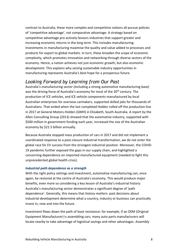contrast to Australia, these more complex and competitive nations all pursue policies of 'competitive advantage', not comparative advantage. A strategy based on competitive advantage pro-actively favours industries that support greater and increasing economic returns in the long term. This includes manufacturing. Investments in manufacturing maximise the quality and value added to processes and products for export to global markets. In turn, these broaden the scope of economic complexity, which promotes innovation and networking through diverse sectors of the economy. Hence, a nation achieves not just economic growth, but also economic *development*. This explains why seizing sustainable industry opportunities in manufacturing represents Australia's best hope for a prosperous future.

# *Looking Forward by Learning from Our Past*

Australia's manufacturing sector (including a strong automotive manufacturing base) was the driving force of Australia's economy for most of the 20<sup>th</sup> century. The production of ICE vehicles, and ICE vehicle components manufactured by local Australian enterprises for overseas carmakers, supported skilled jobs for thousands of Australians. That ended when the last completed Holden rolled off the production line in 2017 at General Motors-Holden (GMH) in Elizabeth, South Australia. A report by the Allen Consulting Group (2013) showed that the automotive industry, supported with \$500 million in government funding each year, increased the size of the Australian economy by \$21.5 billion annually.

Because Australia stopped mass production of cars in 2017 and did not implement a coordinated response to a post-closure industrial transformation, we do not enter the global race for EV success from the strongest industrial position. Moreover, the COVID-19 pandemic further exposed the gaps in our supply chain, and highlighted a concerning dependence on imported manufactured equipment (needed to fight this unprecedented global health crisis).

#### *Industrial path dependence as a strength*

With the right policy settings and investment, automotive manufacturing can, once again, be restored at the centre of Australia's economy. This would produce major benefits, even more so considering a key lesson of Australia's industrial history: Australia's manufacturing sector demonstrates a significant degree of 'path dependence'. Generally, this means that *history matters*: past decisions about industrial development determine what a country, industry or business can practically invest in, now and into the future.

Investment flows down the path of least resistance: for example, if an OEM (Original Equipment Manufacturer) is assembling cars, many auto parts manufacturers will locate nearby to take advantage of logistical savings and other advantages. Assembly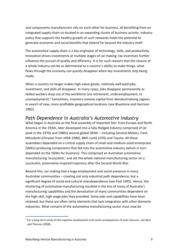and components manufacturers rely on each other for business, all benefiting from an integrated supply chain co-located in an expanding cluster of business activity. Industry policy that supports the healthy growth of such networks holds the potential to generate economic and social benefits that extend far beyond the industry itself.

The automotive supply chain is a key originator of technology, skills, and productivity. Innovation drives investments at multiple stages of car making; tax incentives further influence the pursuit of quality and efficiency. It is for such reasons that the closure of a whole industry can be so detrimental to a country's ability to make things: what flows through the economy can quickly disappear when key investments stop being made.

When a country no longer makes high-value goods, relatively well-paid jobs, investment, and skills all disappear. In many cases, jobs disappear permanently as skilled workers drop out of the workforce (via retirement, underemployment, or unemployment). <sup>2</sup> Sometimes, investors remove capital from deindustrialising regions in search of new, more profitable geographical locations (see Bluestone and Harrison 1982).

# *Path Dependence in Australia's Automotive Industry*

What began in Australia as the final assembly of imported 'kits' from Europe and North America in the 1930s, later developed into a fully-fledged industry comprised of (at peak in the 1970s and 1980s) several global OEMs – including General Motors, Ford, Mitsubishi (Chrysler from 1964-1980), BMC (until 1976) and Toyota. All these assemblers depended on a critical supply chain of small and medium-sized enterprises (SMEs) producing components that fed into the automotive industry (which in turn depended on the OEMs for business). This comprised an Australian automotive manufacturing 'ecosystem,' and set the whole national manufacturing sector on a successful, automotive-inspired trajectory after the Second World War.

Beyond this, car making had a huge employment and social presence in many Australian communities – creating not only industrial path dependence, but a significant degree of social and cultural interdependence (see Peel 1995). Hence, the shuttering of automotive manufacturing resulted in the loss of many of Australia's manufacturing capabilities and the devastation of many communities dependent on the high-skill, high-wage jobs they provided. Some jobs and capabilities have been retained; but these are often niche elements that lack integration with other domestic industries. What remains of the automotive manufacturing sector must now be

<sup>&</sup>lt;sup>2</sup> For a long-term study of the negative employment and social consequences of auto closures, see Beer and Thomas (2008).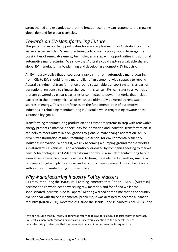strengthened and expanded so that the broader economy can respond to the growing global demand for electric vehicles.

### *Towards an EV-Manufacturing Future*

This paper discusses the opportunities for visionary leadership in Australia to capture via an electric vehicle (EV) manufacturing policy. Such a policy would leverage the possibilities of renewable energy technologies in step with opportunities in traditional automotive manufacturing. We show that Australia could capture a valuable share of global EV manufacturing by planning and developing a domestic EV industry.

An EV industry policy that encourages a rapid shift from automotive manufacturing from ICEs to EVs should form a major pillar of an economy-wide strategy to rebuild Australia's industrial transformation around sustainable transport systems as part of our national response to climate change. In this sense, 'EVs' can refer to all vehicles that are powered by electric batteries or connected to power networks that include batteries in their energy mix – all of which are ultimately powered by renewable sources of energy. This report focuses on the fundamental role of automotive industries in rebuilding manufacturing in Australia while progressing towards these sustainability goals.

Transforming manufacturing production and transport systems in step with renewable energy presents a massive opportunity for innovation and industrial transformation. It can help to meet Australia's obligations to global climate change adaptation. An EVdriven transformation of manufacturing is essential for environmentally friendly industrial innovation. Without it, we risk becoming a dumping ground for the world's sub-standard ICE vehicles – and a country overlooked by companies seeking to market new EV technologies. An EV-led transformation would also link manufacturing to our innovative renewable energy industries. To bring these elements together, Australia requires a long-term plan for social and economic development. This can be delivered with a robust manufacturing industry policy.

# *Why Manufacturing Industry Policy Matters*

As Treasurer during the 1980s, Paul Keating lamented that "in the 1970s … [Australia] became a third world economy selling raw materials and food<sup>3</sup> and we let the sophisticated industrial side fall apart." Keating warned at the time that if the country did not deal with these fundamental problems, it was destined to become a 'banana republic' (Mizen 2020). Nevertheless, since the 1990s – and in earnest since 2013 – the

<sup>&</sup>lt;sup>3</sup> We can assume that by 'food', Keating was referring to raw agricultural exports; today, in contrast, Australia's manufactured food exports are a successful exception to the general trend of manufacturing contraction that has been experienced in other manufacturing sectors.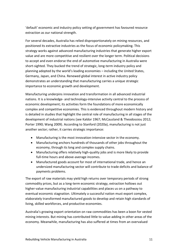'default' economic and industry policy setting of government has favoured resource extraction as our national strength.

For several decades, Australia has relied disproportionately on mining resources, and positioned its extractive industries as the focus of economic policymaking. This strategy works against advanced manufacturing industries that generate higher export value and are more competitive and resilient over the longer term. Political decisions to accept and even endorse the end of automotive manufacturing in Australia were short-sighted. They bucked the trend of strategic, long-term industry policy and planning adopted by the world's leading economies – including the United States, Germany, Japan, and China. Renewed global interest in active industry policy demonstrates an understanding that manufacturing carries a unique strategic importance to economic growth and development.

Manufacturing underpins innovation and transformation in all advanced industrial nations. It is a knowledge- and technology-intensive activity central to the process of economic development; its activities form the foundations of more economically complex and competitive economies. This is evidenced throughout modern history and is detailed in studies that highlight the central role of manufacturing in all stages of the development of industrial nations (see Kaldor 1967; McCausland & Theodossiou 2012; Porter 1990; Wang 2009). According to Stanford (2020a), manufacturing is not just another sector; rather, it carries strategic importance:

- Manufacturing is the most innovation-intensive sector in the economy.
- Manufacturing anchors hundreds of thousands of other jobs throughout the economy, through its long and complex supply chains.
- Manufacturing offers relatively high-quality jobs and is more likely to provide full-time hours and above-average incomes.
- Manufactured goods account for most of international trade, and hence an undersized manufacturing sector will contribute to trade deficits and balance of payments problems.

The export of raw materials may yield high returns over temporary periods of strong commodity prices, but as a long-term economic strategy, extraction hollows out higher-value manufacturing industrial capabilities and places us on a pathway to eventual economic stagnation. Ultimately a successful nation must export complex, elaborately transformed manufactured goods to develop and retain high standards of living, skilled workforces, and productive economies.

Australia's growing export orientation on raw commodities has been a boon for vested mining interests. But mining has contributed little to value-adding in other areas of the economy. Meanwhile, manufacturing has also suffered at times from an overvalued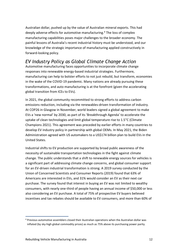Australian dollar, pushed up by the value of Australian mineral exports. This had deeply adverse effects for automotive manufacturing.<sup>4</sup> The loss of complex manufacturing capabilities poses major challenges to the broader economy. The painful lessons of Australia's recent industrial history must be understood, and our knowledge of the strategic importance of manufacturing applied constructively in forward-looking policy.

# *EV Industry Policy as Global Climate Change Action*

Automotive manufacturing faces opportunities to incorporate climate change responses into renewable energy-based industrial strategies. Furthermore, manufacturing can help to bolster efforts to not just rebuild, but transform, economies in the wake of the COVID-19 pandemic. Many nations are already pursuing these transformations, and auto manufacturing is at the forefront (given the accelerating global transition from ICEs to EVs).

In 2021, the global community recommitted to strong efforts to address carbon emissions reduction, including via the renewables-driven transformation of industry. At COP26 in Glasgow in November, world leaders signed a global agreement to make EVs a 'new normal' by 2030, as part of its 'Breakthrough Agenda' to accelerate the uptake of clean technologies and limit global temperature rise to 1.5°C (Climate Champions 2021). This agreement was preceded by earlier efforts in many countries to develop EV industry policy in partnership with global OEMs. In May 2021, the Biden Administration agreed with US automakers to a US\$174 billion plan to build EVs in the United States.

Industrial shifts to EV production are supported by broad public awareness of the necessity of sustainable transportation technologies in the fight against climate change. The public understands that a shift to renewable energy sources for vehicles is a significant part of addressing climate change concerns, and global consumer support for an EV-driven industrial transformation is strong. A 2019 survey conducted by the Union of Concerned Scientists and Consumer Reports (2019) found that 63% of Americans are interested in EVs, and 31% would consider an EV as their next car purchase. The survey found that interest in buying an EV was not limited to wealthy consumers, with nearly one-third of people having an annual income of \$50,000 or less also considering an EV purchase. A total of 75% of prospective EV buyers believed incentives and tax rebates should be available to EV consumers, and more than 60% of

<sup>4</sup> Previous automotive assemblers closed their Australian operations when the Australian dollar was inflated (by sky-high global commodity prices) as much as 75% above its purchasing power parity.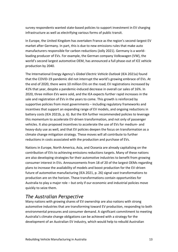survey respondents wanted state-based policies to support investment in EV charging infrastructure as well as electrifying various forms of public transit.

In Europe, the United Kingdom has overtaken France as the region's second-largest EV market after Germany. In part, this is due to new emissions rules that make auto manufacturers responsible for carbon reductions (Jolly 2021). Germany is a worldleading producer of EVs. For example, the German company Volkswagen (VW), the world's second largest automotive OEM, has announced a full phase-out of ICE vehicle production by 2040.

The International Energy Agency's *Global Electric Vehicle Outlook* (IEA 2021a) found that the COVID-19 pandemic did not interrupt the world's growing embrace of EVs. At the end of 2020, there were 10 million EVs on the road; EV registrations increased by 41% that year, despite a pandemic-induced decrease in overall car sales of 16%. In 2020, three million EVs were sold, and the IEA expects further rapid increases in the sale and registration of EVs in the years to come. This growth is reinforced by supportive policies from most governments – including regulatory frameworks and incentives that support an expanding range of EV models, and ongoing reductions in battery costs (IEA 2021b, p. 6). But the IEA further recommended policies to leverage this momentum to accelerate EV-driven transformation, and not only of passenger vehicles. It also proposed incentives to accelerate the use of EVs for medium- and heavy-duty use as well, and that EV policies deepen the focus on transformation as a climate change mitigation strategy. These moves will all contribute to further reductions in costs associated with the production and purchase of EVs.

Nations in Europe, North America, Asia, and Oceania are already capitalising on the contribution of EVs to achieving emissions reductions targets. Many of these nations are also developing strategies for their automotive industries to benefit from growing consumer interest in EVs. Announcements from 18 of 20 of the largest OEMs regarding plans to increase the availability of models and boost production for the EV-driven future of automotive manufacturing (IEA 2021, p. 26) signal vast transformations to production are on the horizon. These transformations contain opportunities for Australia to play a major role – but only if our economic and industrial policies move quickly to seize them.

### *The Australian Perspective*

Many nations with growing shares of EV ownership are also nations with strong automotive industries that are transforming toward EV production, responding to both environmental pressures and consumer demand. A significant commitment to meeting Australia's climate change obligations can be achieved with a strategy for the development of an Australian EV industry, which would help to rebuild Australian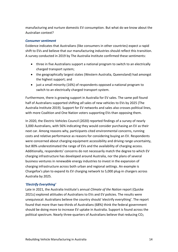manufacturing and nurture domestic EV consumption. But what do we know about the Australian context?

#### *Consumer sentiment*

Evidence indicates that Australians (like consumers in other countries) expect a rapid shift to EVs and believe that our manufacturing industries should reflect this transition. A survey conducted in 2019 by The Australia Institute confirmed these sentiments:

- three in five Australians support a national program to switch to an electrically charged transport system;
- the geographically largest states (Western Australia, Queensland) had amongst the highest support; and
- just a small minority (16%) of respondents opposed a national program to switch to an electrically charged transport system.

Furthermore, there is growing support in Australia for EV sales. The same poll found half of Australians supported shifting *all* sales of new vehicles to EVs by 2025 (The Australia Institute 2019). Support for EV networks and sales also crosses political lines, with more Coalition and One Nation voters supporting EVs than opposing them.

In 2020, the Electric Vehicles Council (2020) reported findings of a survey of nearly 3,000 Australians, with 56% indicating they would consider purchasing an EV as their next car. Among reasons why, participants cited environmental concerns, running costs and relative performance as reasons for considering buying an EV. Respondents were concerned about charging equipment accessibility and driving range uncertainty, but 80% underestimated the range of EVs and the availability of charging access. Additionally, respondents' concerns do not necessarily match the degree to which EV charging infrastructure has developed around Australia, nor the plans of several business ventures in renewable energy industries to invest in the expansion of charging infrastructure across both urban and regional settings. An example is Chargefox's plan to expand its EV charging network to 5,000 plug-in chargers across Australia by 2025.

#### *'Electrify Everything'*

Late in 2021, the Australia Institute's annual *Climate of the Nation* report (Quicke 2021c) explored attitudes of Australians to EVs and EV policies. The results were unequivocal: Australians believe the country should 'electrify everything'. The report found that more than two-thirds of Australians (68%) think the federal government should be doing more to increase EV uptake in Australia. Support is found across the political spectrum. Nearly three-quarters of Australians believe that reducing  $CO<sub>2</sub>$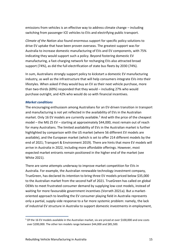emissions from vehicles is an effective way to address climate change – including switching from passenger ICE vehicles to EVs and electrifying public transport.

*Climate of the Nation* also found enormous support for specific policy solutions to drive EV uptake that have been proven overseas. The greatest support was for Australia to increase domestic manufacturing of EVs and EV components, with 75% indicating they would support such a policy. Beyond fostering domestic EV manufacturing, a fast-charging network for recharging EVs also attracted broad support (74%), as did the full electrification of state bus fleets by 2030 (74%).

In sum, Australians strongly support policy to kickstart a domestic EV manufacturing industry, as well as the infrastructure that will help consumers integrate EVs into their lifestyles. When asked if they would buy an EV as their next vehicle purchase, more than two-thirds (69%) responded that they would – including 27% who would purchase outright, and 42% who would do so with financial incentives.

#### *Market conditions*

The encouraging enthusiasm among Australians for an EV-driven transition in transport and manufacturing is not yet reflected in the availability of EVs in the Australian market. Only 16 EV models are currently available. <sup>5</sup> And with the price of the cheapest model – the MG ZS EV – starting at approximately \$44,000, most remain out of reach for many Australians. The limited availability of EVs in the Australian market is further highlighted by comparison with the US market (where 56 different EV models are available), and the European market (which is set to offer 214 different models by the end of 2021; Transport & Environment 2019). There are hints that more EV models will arrive in Australia in 2022, including more affordable offerings. However, most expected market entrants remain positioned in the higher end of the market (see White 2021).

There are some attempts underway to improve market competition for EVs in Australia. For example, the Australian renewable technology investment company, TrueGreen, has declared its intention to bring three EV models priced below \$35,000 to the Australian market from the second half of 2021. TrueGreen has called on global OEMs to meet frustrated consumer demand by supplying low-cost models, instead of waiting for more favourable government incentives (Vorrath 2021a). But a marketoriented approach to levelling the EV consumer playing field in Australia represents only a partial, supply-side response to a far more systemic problem: namely, the lack of industrial EV structure in Australia to support domestic investments in employment,

<sup>5</sup> Of the 16 EV models available in the Australian market, six are priced at over \$100,000 and one costs over \$200,000. The other ten models range between \$44,000 and \$85,500.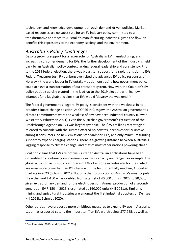technology, and knowledge development through demand-driven policies. Marketbased responses are no substitute for an EV industry policy committed to a transformative approach to Australia's manufacturing industries, given the flow-on benefits this represents to the economy, society, and the environment.

# *Australia's Policy Challenges*

Despite growing support for a larger role for Australia in EV manufacturing, and increasing consumer demand for EVs, the further development of the industry is held back by an Australian policy context lacking federal leadership and consistency. Prior to the 2019 federal election, there was bipartisan support for a rapid transition to EVs. Federal Treasurer Josh Frydenberg even cited the advanced EV policy responses of Norway – the world leader in EV uptake – as demonstrating how government policy could achieve a transformation of our transport system. However, the Coalition's EV policy outlook quickly pivoted in the lead-up to the 2019 election, with its now infamous (and laughable) claims that EVs would 'destroy the weekend'. 6

The federal government's laggard EV policy is consistent with the weakness in its broader climate change position. At COP26 in Glasgow, the Australian government's climate commitments were the weakest of any advanced industrial country (Dewan, Westcott & Whiteman 2021). Even the Australian government's ratification of the Breakthrough Agenda on EVs was largely symbolic. The \$250 million EV strategy it released to coincide with the summit offered no new tax incentives for EV uptake amongst consumers, no new emissions standards for ICEs, and only minimum funding support to expand charging stations. There is a growing distance between Australia's lagging response to climate change, and that of most other nations powering ahead.

Coalition claims that EVs are not well-suited to Australian applications have been discredited by continuing improvements in their capacity and range. For example, the global automotive industry's embrace of EVs of all sorts includes electric utes, which are even more powerful than ICE utes – with the first potentially reaching Australian markets in 2023 (Schmidt 2021). Not only that, production of Australia's most popular ute – the Ford F-150 – has doubled from a target of 40,000 units in 2022 to 80,000, given extraordinary demand for the electric version. Annual production of a secondgeneration EV F-150 in 2025 is estimated at 160,000 units (Hill 2021a). Similarly, mining and agricultural industries are amongst the first industrial adopters of EVs (see Hill 2021b; Schmidt 2020).

Other parties have proposed more ambitious measures to expand EV use in Australia. Labor has proposed cutting the import tariff on EVs worth below \$77,765, as well as

<sup>6</sup> See Remeikis (2019) and Quicke (2021b).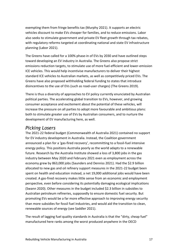exempting them from fringe benefits tax (Murphy 2021). It supports an electric vehicles discount to make EVs cheaper for families, and to reduce emissions. Labor also seeks to stimulate government and private EV fleet growth through tax rebates, with regulatory reforms targeted at coordinating national and state EV infrastructure planning (Labor 2021).

The Greens have called for a 100% phase-in of EVs by 2030 and have outlined steps toward developing an EV industry in Australia. The Greens also propose strict emissions reduction targets, to stimulate use of more fuel-efficient and lower-emission ICE vehicles. This would help incentivise manufacturers to deliver their highest standard ICE vehicles to Australian markets, as well as competitively priced EVs. The Greens have also proposed withholding federal funding to states that introduce disincentives to the use of EVs (such as road-user charges) (The Greens 2019).

There is thus a diversity of approaches to EV policy currently enunciated by Australian political parties. The accelerating global transition to EVs, however, and growing consumer acceptance and excitement about the potential of these vehicles, will increase the pressure on all parties to adopt more favourable and ambitious plans: both to stimulate greater use of EVs by Australian consumers, and to nurture the development of EV manufacturing here, as well.

### *Picking Losers*

The 2021-22 federal budget (Commonwealth of Australia 2021) contained no support for EV industry development in Australia. Instead, the Coalition government announced a plan for a 'gas-fired recovery', recommitting to a fossil-fuel intensive energy policy. This positions Australia poorly as the world adapts to a renewable future. Research by the Australia Institute showed a loss of 3,800 jobs in the gas industry between May 2020 and February 2021 even as employment across the economy grew by 863,000 jobs (Saunders and Denniss 2021). Had the \$2.9 billion allocated to new gas and oil refinery support measures in the 2021-22 budget been spent on health and education instead, a net 19,000 additional jobs would have been created. A gas-fired recovery makes little sense from an economic and employment perspective, even before considering its potentially damaging ecological implications (Swann 2020). Other measures in the budget included \$2.3 billion in subsidies to Australian petroleum refineries, supposedly to ensure domestic fuel security. But promoting EVs would be a far more effective approach to improving energy security than more subsidies for fossil fuel industries, and would aid the transition to clean, renewable sources of energy (see Saddler 2021).

The result of lagging fuel quality standards in Australia is that the "dirty, cheap fuel" manufactured here ranks among the worst produced anywhere in the OECD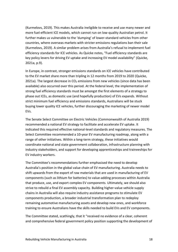(Kurmelovs, 2019). This makes Australia ineligible to receive and use many newer and more fuel-efficient ICE models, which cannot run on low-quality Australian petrol. It further makes us vulnerable to the 'dumping' of lower-standard vehicles from other countries, where overseas markets with stricter emissions regulations ban their sale (Kurmelovs, 2019). A similar problem arises from Australia's refusal to implement fuel efficiency standards for ICE vehicles. As Quicke notes, "Fuel efficiency standards are key policy levers for driving EV uptake and increasing EV model availability" (Quicke, 2021a, p.9).

In Europe, in contrast, stronger emissions standards on ICE vehicles have contributed to the EV market share more than tripling in 12 months from 2019 to 2020 (Quicke, 2021a). The largest decrease in  $CO<sub>2</sub>$  emissions from new vehicles (since data has been available) also occurred over this period. At the federal level, the implementation of strong fuel efficiency standards must be amongst the first elements of a strategy to phase out ICEs, as domestic use (and hopefully production) of EVs expands. Without strict minimum fuel efficiency and emissions standards, Australians will be stuck buying lower quality ICE vehicles, further discouraging the marketing of newer model EVs.

The Senate Select Committee on Electric Vehicles (Commonwealth of Australia 2019) recommended a national EV strategy to facilitate and accelerate EV uptake. It indicated this required effective national-level standards and regulatory measures. The Select Committee recommended a 10-year EV manufacturing roadmap, along with a range of other initiatives. Within a long-term strategy, these initiatives would coordinate national and state government collaboration, infrastructure planning with industry stakeholders, and support for developing apprenticeships and traineeships for EV industry workers.

The Committee's recommendations further emphasised the need to develop Australia's position in the global value chain of EV manufacturing. Australia needs to shift upwards from the export of raw materials that are used in manufacturing of EV components (such as lithium for batteries) to value-adding processes within Australia that produce, use, and export complex EV components. Ultimately, we should also strive to rebuild a final EV assembly capacity. Building higher-value vehicle supply chains in Australia will also require industry assistance programs to stimulate EV components production, a broader industrial transformation plan to redeploy remaining automotive manufacturing assets and develop new ones, and workforce training to ensure Australians have the skills needed to build EVs and EV components.

The Committee stated, scathingly, that it "received no evidence of a clear, coherent and comprehensive federal government policy position supporting the development of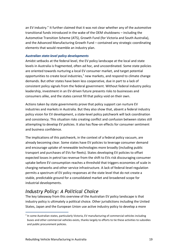an EV industry." It further claimed that it was not clear whether any of the automotive transitional funds introduced in the wake of the OEM shutdowns – including the Automotive Transition Scheme (ATS), Growth Fund (for Victoria and South Australia), and the Advanced Manufacturing Growth Fund – contained any strategic coordinating elements that would resemble an industry plan.

#### *Australian state-level policy developments*

Amidst setbacks at the federal level, the EV policy landscape at the local and state levels in Australia is fragmented, often *ad hoc*, and uncoordinated. Some state policies are oriented towards nurturing a local EV consumer market, and target potential opportunities to create local industries, $<sup>7</sup>$  new markets, and respond to climate change</sup> demands. But other states have been less cooperative, due in part to a lack of consistent policy signals from the federal government. Without federal industry policy leadership, investment in an EV-driven future presents risks to businesses and consumers alike, and the states cannot fill that policy void on their own.

Actions taken by state governments prove that policy support can nurture EV industries and markets in Australia. But they also show that, absent a federal industry policy vision for EV development, a state-level policy patchwork will lack coordination and consistency. This situation risks creating conflict and confusion between states still attempting to develop EV policies. It also has flow-on effects for consumer sentiment and business confidence.

The implications of this patchwork, in the context of a federal policy vacuum, are already becoming clear. Some states have EV policies to leverage consumer demand and encourage uptake of renewable technologies more broadly (including public transport and purchases of EVs for fleets). States developing EV policies to offset expected losses in petrol tax revenue from the shift to EVs risk discouraging consumer uptake before EV consumption reaches a threshold that triggers economies of scale in charging networks and other service infrastructure. A lack of federal-level regulation permits a spectrum of EV policy responses at the state level that do not create a stable, predictable ground for a consolidated market and broadened scope for industrial developments.

# *Industry Policy: A Political Choice*

The key takeaway from this overview of the Australian EV policy landscape is that industry policy is ultimately a political choice. Other jurisdictions including the United States, Japan and the European Union use active industry policy to develop a more

 $<sup>7</sup>$  In some Australian states, particularly Victoria, EV manufacturing of commercial vehicles including</sup> buses and other commercial vehicles exists, thanks largely to efforts to tie these activities to subsidies and public procurement policies.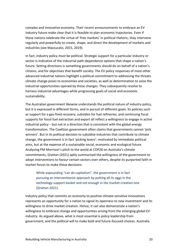complex and innovative economy. Their recent announcements to embrace an EV industry future make clear that it is feasible to plan economic trajectories. Even if these nations celebrate the virtue of 'free markets' in political rhetoric, they intervene regularly and powerfully to create, shape, and direct the development of markets and industries (see Mazzucato, 2015, 2019).

In fact, industry policy *must* be political. Strategic support for a particular industry or sector is indicative of the industrial path-dependence options that shape a nation's future. Setting directions is something governments should do on behalf of a nation's citizens, and for objectives that benefit society. The EV policy responses of most other advanced industrial nations highlight a political commitment to addressing the threats climate change poses to economies and societies, as well as determination to seize the industrial opportunities opened by those changes. They subsequently resolve to harness industrial advantages while progressing goals of social and economic sustainability.

The Australian government likewise understands the political nature of industry policy, but it is expressed in different forms, and in pursuit of different goals. Its policies such as support for a gas-fired recovery, subsidies for fuel refineries, and continuing fiscal supports for fossil fuel extraction and export all reflect a willingness to engage in active industrial policy – but not in a direction that is consistent with the global energy transformation. The Coalition government often claims that governments cannot 'pick winners'. But in its political decision to subsidise industries that contribute to climate change, the government is in fact 'picking losers': motivated by immediate political aims, but at the expense of a sustainable social, economic and ecological future. Analysing PM Morrison's pitch to the world at COP26 on Australia's climate commitments, Grattan (2021) aptly summarised the willingness of the government to adopt interventions to favour certain sectors over others, despite its purported faith in market forces to make these decisions:

While expounding "can do capitalism", the government is in fact pursuing an interventionist approach by putting all its eggs in the technology-support basket and not enough in the market-creation one (Grattan 2021).

Industry policy that commits an economy to positive climate-sensitive innovations represents an opportunity for a nation to signal its openness to new investment and its willingness to drive market-creation. Hence, it can also demonstrate a nation's willingness to embrace change and opportunities arising from the emerging global EV industry. As argued above, what is most essential is policy leadership from government, and the political will to make bold and future-focused choices. Australia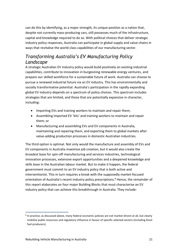can do this by identifying, as a major strength, its unique position as a nation that, despite not currently mass-producing cars, still possesses much of the infrastructure, capital and knowledge required to do so. With political choices that deliver strategic industry policy responses, Australia can participate in global supply and value chains in ways that revitalise the world-class capabilities of our manufacturing sector.

# *Transforming Australia's EV Manufacturing Policy Landscape*

A strategic Australian EV industry policy would build positively on existing industrial capabilities, contribute to innovation in burgeoning renewable energy ventures, and prepare our skilled workforce for a sustainable future of work. Australia can choose to pursue a renewed industrial future via an EV industry. This has environmentally and socially transformative potential. Australia's participation in the rapidly expanding global EV industry depends on a spectrum of policy choices. This spectrum includes strategies that are limited, and those that are potentially expansive in character, including:

- Importing EVs and training workers to maintain and repair them;
- Assembling imported EV 'kits' and training workers to maintain and repair them; or
- Manufacturing and assembling EVs and EV components in Australia, maintaining and repairing them, and exporting them to global markets after value-adding production processes in domestic Australian industries.

The third option is optimal. Not only would the manufacture and assembly of EVs and EV components in Australia maximise job creation, but it would also create the broadest base for spin-off manufacturing and services industries, technological innovation processes, extensive export opportunities and a deepened knowledge and skills base in the Australian labour market. But to make it happen, the federal government must commit to an EV industry policy that is both active and interventionist. This in turn requires a break with the supposedly market-focused orientation of Australia's recent industry policy prescriptions. <sup>8</sup> Hence, the remainder of this report elaborates on four major Building Blocks that must characterise an EV industry policy that can achieve this breakthrough in Australia. They include:

<sup>&</sup>lt;sup>8</sup> In practice, as discussed above, many federal economic policies are not market-driven at all, but clearly mobilise public resources and regulatory influence in favour of specific selected sectors (including fossil fuel producers).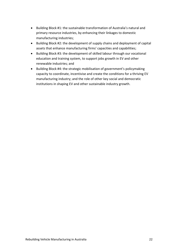- Building Block #1: the sustainable transformation of Australia's natural and primary resource industries, by enhancing their linkages to domestic manufacturing industries;
- Building Block #2: the development of supply chains and deployment of capital assets that enhance manufacturing firms' capacities and capabilities;
- Building Block #3: the development of skilled labour through our vocational education and training system, to support jobs growth in EV and other renewable industries; and
- Building Block #4: the strategic mobilisation of government's policymaking capacity to coordinate, incentivise and create the conditions for a thriving EV manufacturing industry; and the role of other key social and democratic institutions in shaping EV and other sustainable industry growth.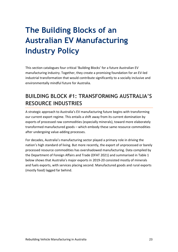# <span id="page-22-0"></span>**The Building Blocks of an Australian EV Manufacturing Industry Policy**

This section catalogues four critical 'Building Blocks' for a future Australian EV manufacturing industry. Together, they create a promising foundation for an EV-led industrial transformation that would contribute significantly to a socially inclusive and environmentally mindful future for Australia.

# <span id="page-22-1"></span>**BUILDING BLOCK #1: TRANSFORMING AUSTRALIA'S RESOURCE INDUSTRIES**

A strategic approach to Australia's EV manufacturing future begins with transforming our current export regime. This entails a shift away from its current domination by exports of processed raw commodities (especially minerals), toward more elaborately transformed manufactured goods – which embody these same resource commodities after undergoing value-adding processes.

For decades, Australia's manufacturing sector played a primary role in driving the nation's high standard of living. But more recently, the export of unprocessed or barely processed resource commodities has overshadowed manufacturing. Data compiled by the Department of Foreign Affairs and Trade (DFAT 2021) and summarised in Table 1 below shows that Australia's major exports in 2019-20 consisted mostly of minerals and fuels exports, with services placing second. Manufactured goods and rural exports (mostly food) lagged far behind.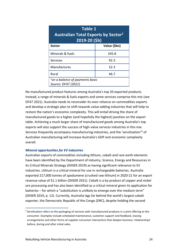| Table 1<br><b>Australian Total Exports by Sector</b> <sup>1</sup><br>$2019 - 20$ (\$b) |              |  |  |  |  |
|----------------------------------------------------------------------------------------|--------------|--|--|--|--|
| <b>Sector</b>                                                                          | Value (\$bn) |  |  |  |  |
| Minerals & fuels                                                                       | 245.8        |  |  |  |  |
| <b>Services</b>                                                                        | 92.3         |  |  |  |  |
| Manufactures                                                                           | 52.3         |  |  |  |  |
| Rural                                                                                  | 46.7         |  |  |  |  |
| $1$ on a balance of payments basis<br>Source: DFAT (2021)                              |              |  |  |  |  |

No manufactured product features among Australia's top 20 exported products. Instead, a range of minerals & fuels exports and some services comprise this mix (see DFAT 2021). Australia needs to reconsider its over-reliance on commodities exports and develop a strategic plan to shift towards value-adding industries that will help to restore the nation's economic complexity. This will entail driving the share of manufactured goods to a higher (and hopefully the highest) position on the export table. Achieving a much larger share of manufactured goods among Australia's top exports will also support the success of high-value services industries in this mix. Services frequently accompany manufacturing industries, and the 'servitisation'<sup>9</sup> of Australian manufacturing will increase Australia's GDP and economic complexity overall.

#### *Mineral opportunities for EV industries*

Australian exports of commodities including lithium, cobalt and rare earth elements have been identified by the Department of Industry, Science, Energy and Resources in its Critical Minerals Strategy (DIISER 2019) as having significant relevance to EV industries. Lithium is a critical mineral for use in rechargeable batteries. Australia exported 217,000 tonnes of spodumene (crushed raw lithium) in 2020-21 for an export revenue value of \$1.1 billion (DIISER 2021). Cobalt is a by-product of copper and nickel ore processing and has also been identified as a critical mineral given its application for batteries – for which a "substitution is unlikely to emerge over the medium term" (DIISER 2019, p. 12). Currently, Australia lags far behind the world's largest cobalt exporter, the Democratic Republic of the Congo (DRC), despite holding the second

<sup>&</sup>lt;sup>9</sup> Servitisation refers to the packaging of services with manufactured products in a joint offering to the consumer. Examples include scheduled maintenance, customer support and feedback, leasing arrangements and other forms of supplier-consumer interactions that deepen business 'relationships' before, during and after initial sales.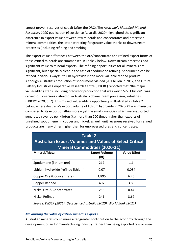largest proven reserves of cobalt (after the DRC). The *Australia's Identified Mineral Resources 2020* publication (Geoscience Australia 2020) highlighted the significant difference in export value between raw minerals and concentrates and processed mineral commodities, the latter attracting far greater value thanks to downstream processes (including refining and smelting).

The export value differences between the ore/concentrate and refined export forms of these critical minerals are summarised in Table 2 below. Downstream processes add significant value to mineral exports. The refining opportunities for all minerals are significant, but especially clear in the case of spodumene refining. Spodumene can be refined in various ways: lithium hydroxide is the more valuable refined product. Although Australia's production of spodumene yielded \$1.1 billion in 2017, the Future Battery Industries Cooperative Research Centre (FBICRC) reported that "the major value-adding steps, including precursor production that was worth \$22.1 billion", was carried out overseas instead of in Australia's downstream processing industries (FBICRC 2020, p. 7). This missed value-adding opportunity is illustrated in Table 2 below, where Australia's export volume of lithium hydroxide in 2020-21 was miniscule compared to its export of lithium ore – yet the small quantities which were exported generated revenue per kiloton (kt) more than 200 times higher than exports of unrefined spodumene. In copper and nickel, as well, unit revenues received for refined products are many times higher than for unprocessed ores and concentrates.

| <b>Table 2</b><br><b>Australian Export Volumes and Values of Select Critical</b><br><b>Mineral Commodities (2020-21)</b> |                              |              |  |  |  |
|--------------------------------------------------------------------------------------------------------------------------|------------------------------|--------------|--|--|--|
| Mineral/Metal                                                                                                            | <b>Export Volume</b><br>(kt) | Value (\$bn) |  |  |  |
| Spodumene (lithium ore)                                                                                                  | 217                          | 1.1          |  |  |  |
| Lithium hydroxide (refined lithium)                                                                                      | 0.07                         | 0.084        |  |  |  |
| Copper Ore & Concentrates                                                                                                | 1,895                        | 6.26         |  |  |  |
| Copper Refined                                                                                                           | 407                          | 3.83         |  |  |  |
| Nickel Ore & Concentrates                                                                                                | 258                          | 0.44         |  |  |  |
| Nickel Refined                                                                                                           | 241                          | 3.67         |  |  |  |
| Source: DIISER (2021); Geoscience Australia (2020); World Bank (2021)                                                    |                              |              |  |  |  |

#### *Maximising the value of critical minerals exports*

Australian minerals could make a far greater contribution to the economy through the development of an EV manufacturing industry, rather than being exported raw or even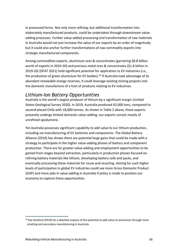in processed forms. Not only more refining, but additional transformation into elaborately manufactured products, could be undertaken through downstream valueadding processes. Further value-added processing and transformation of raw materials in Australia would not just increase the value of our exports by an order of magnitude, but it could also anchor further transformations of raw commodity exports into strategic manufactured components.

Among commodities exports, aluminium ores & concentrates (garnering \$8.8 billion worth of exports in 2019-20) and precious metal ores & concentrates (\$1.8 billion in 2019-20) (DFAT 2021) hold significant potential for application to EV industries (i.e., the production of green aluminium for EV bodies).<sup>10</sup> If Australia took advantage of its abundant renewable energy reserves, it could leverage existing mining projects into the domestic manufacture of a host of products relating to EV industries.

# *Lithium-Ion Battery Opportunities*

Australia is the world's largest producer of lithium by a significant margin (United States Geological Survey 2020). In 2019, Australia produced 42,000 tons, compared to second-placed Chile with 18,000 tonnes. As shown in Table 2 above, these exports presently undergo limited domestic value-adding; our exports consist mostly of unrefined spodumene.

Yet Australia possesses significant capability to add value to our lithium production, including via manufacturing of EV batteries and components. The Global Battery Alliance (2019) has shown there are potential large gains that could be made with a strategy to participate in the higher value-adding phases of battery and component production. There are far greater value-adding and employment opportunities to be gained from stages beyond extraction, particularly in production phases focused on refining battery materials like lithium, developing battery cells and packs, and eventually processing these materials for reuse and recycling. Aiming for such higher levels of participation in global EV industries could see more Gross Domestic Product (GDP) and more jobs in value-adding in Australia if policy is made to position our economy to capture these opportunities.

 $10$  See Stanford (2016) for a detailed analysis of the potential to add value to aluminium through more smelting and secondary manufacturing in Australia.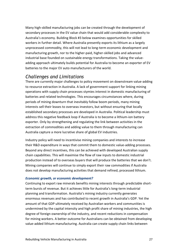Many high-skilled manufacturing jobs can be created through the development of secondary processes in the EV value chain that would add considerable complexity to Australia's economy. Building Block #3 below examines opportunities for skilled workers in further detail. Where Australia presently exports its lithium as a largely unprocessed commodity, this will not lead to long-term economic development and manufacturing growth, nor to the higher-paid, higher-skilled jobs and advanced industrial base founded on sustainable energy transformations. Taking the valueadding approach ultimately builds potential for Australia to become an exporter of EV batteries to the major EV auto manufacturers of the world.

### *Challenges and Limitations*

There are currently major challenges to policy movement on downstream value-adding to resource extraction in Australia. A lack of government support for linking mining operations with supply chain processes stymies interest in domestic manufacturing of batteries and related technologies. This encourages circumstances where, during periods of mining downturn that inevitably follow boom periods, many mining interests sell their leases to overseas investors, but without ensuring that locally established secondary processes are developed in Australia. Political leadership must address this negative feedback loop if Australia is to become a lithium-ion battery exporter. Only by strengthening and regulating the link between activities in the extraction of commodities and adding value to them through manufacturing can Australia capture a more lucrative share of global EV industries.

Industry policy will need to incentivise mining companies and interests to increase their R&D expenditure in ways that commit them to domestic value-adding processes. Beyond any direct incentives, this can be achieved with developed Australian supply chain capabilities. This will maximise the flow of raw inputs to domestic industrial production instead of to overseas buyers that will produce the batteries that we don't. Mining companies will continue to simply export their raw commodities if Australia does not develop manufacturing activities that demand refined, processed lithium.

#### *Economic growth, or economic development?*

Continuing to export raw minerals benefits mining interests through predictable shortterm bursts of revenue. But it achieves little for Australia's long-term industrial planning and transformation. Australia's mining industry currently generates enormous revenues and has contributed to recent growth in Australia's GDP. Yet the amount of that GDP ultimately received by Australian workers and communities is undermined by the capital intensity and high profit share of mining industries, the high degree of foreign ownership of the industry, and recent reductions in compensation for mining workers. A better outcome for Australians can be obtained from developing value-added lithium manufacturing. Australia can create supply chain links between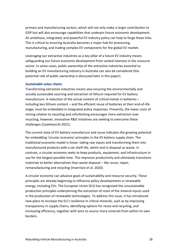primary and manufacturing sectors, which will not only make a larger contribution to GDP but will also encourage capabilities that underpin future economic development. An ambitious, integrated, and powerful EV industry policy can help to forge these links. This is critical to ensuring Australia becomes a major hub for processing, manufacturing, and trading complex EV components for the global EV market.

Leveraging our extractive industries as a key pillar of a future EV industry means safeguarding our future economic development from vested interests in the resource sector. In some cases, public ownership of the extractive industries essential to building an EV manufacturing industry in Australia can also be considered (the potential role of public ownership is discussed later in this paper).

#### *Sustainable value chains*

Transforming extractive industries means also ensuring the environmentally and socially sustainable sourcing and extraction of lithium required for EV battery manufacture. A reduction of the actual content of critical metals in batteries – including less lithium content – and the efficient reuse of batteries at their end-of-life stage, must be embedded in integrated policy responses. Presently, the lower costs of mining relative to recycling and refurbishing encourages more extraction over recycling; however, innovative R&D initiatives are seeking to overcome these challenges (Castelvecchi 2021).

The current state of EV battery manufacture and reuse indicates the growing potential for embedding 'circular economy' principles in the EV battery supply chain. The traditional economic model is linear: taking raw inputs and transforming them into manufactured products with a set shelf-life, which end in disposal as waste. In contrast, a circular economy seeks to keep products, equipment, and infrastructure in use for the longest possible time. This improves productivity and ultimately transitions materials to better alternatives than waste disposal – like reuse, repair, remanufacturing and recycling (Invernizzi et al. 2020).

A circular economy can advance goals of sustainability and resource security. These principles are already beginning to influence policy developments in renewable energy, including EVs. The European Union (EU) has recognised the unsustainable production principles underpinning the extraction of most of the mineral inputs used in the production of renewable technologies. To address this issue, it has introduced new plans to increase the EU's resilience in critical minerals, such as by improving transparency in supply chains, identifying options for reuse and recycling, and increasing efficiency, together with aims to source more minerals from within its own borders.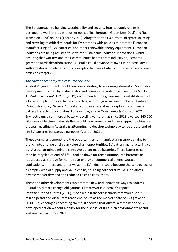The EU approach to building sustainability and security into its supply chains is designed to work in step with other goals of its 'European Green New Deal' and 'Just Transition Fund' policies (Thorpe 2020). Altogether, the EU aims to integrate sourcing and recycling of critical minerals for EV batteries with policies to promote European manufacturing of EVs, batteries, and other renewable energy equipment. European industries are being assisted to shift into sustainable industrial innovations, whilst ensuring that workers and their communities benefit from industry adjustments geared towards decarbonisation. Australia could advance its own EV industrial aims with ambitious circular economy principles that contribute to our renewable and zeroemissions targets.

#### *The circular economy and resource security*

Australia's government should consider a strategy to encourage domestic EV industry development framed by sustainability and resource security objectives. The CSIRO's *Australian National Outlook* (2019) recommended the government's establishment of a long-term plan for local battery recycling, and this goal will need to be built into an EV industry policy. Several Australian companies are already exploring commercial battery lifecycle opportunities. For example, as *The Driven reports* (Vorrath 2021b) Envirostream, a commercial battery recycling venture, has since 2018 diverted 240,000 kilograms of battery materials that would have gone to landfill or shipped to China for processing. Lithium Australia is attempting to develop technology to repurpose end-oflife EV batteries for storage purposes (Vorrath 2021b).

These examples demonstrate the opportunities for manufacturing supply chains to branch into a range of circular value chain opportunities. EV battery manufacturing can put Australian-mined minerals into Australian-made batteries. These batteries can then be recycled at end-of-life – broken down for reconstitution into batteries or repurposed as storage for home solar energy or commercial energy storage applications. In these and other ways, the EV industry could become the centrepiece of a complex web of supply and value chains, spurning collaborative R&D initiatives, diverse market demand and reduced costs to consumers.

These and other developments can promote new and innovative ways to address Australia's climate change obligations. ClimateWorks Australia's report, *Decarbonisation Futures* (2020), modelled a transport scenario that would see 7.6 million petrol and diesel cars reach end-of-life as the market share of EVs grows to 2030. But, echoing a concerning theme, it showed that Australia remains the only developed nation without a policy for the disposal of ICEs in an environmentally and sustainable way (Stock 2021).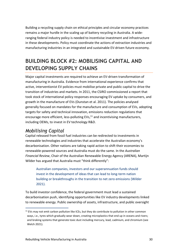Building a recycling supply chain on ethical principles and circular economy practices remains a major hurdle in the scaling up of battery recycling in Australia. A wideranging federal industry policy is needed to incentivise investment and infrastructure in these developments. Policy must coordinate the actions of extraction industries and manufacturing industries in an integrated and sustainable EV-driven future economy.

# <span id="page-29-0"></span>**BUILDING BLOCK #2: MOBILISING CAPITAL AND DEVELOPING SUPPLY CHAINS**

Major capital investments are required to achieve an EV-driven transformation of manufacturing in Australia. Evidence from international experience confirms that active, interventionist EV policies must mobilise private and public capital to drive the transition of industries and markets. In 2011, the CSIRO commissioned a report that took stock of international policy responses encouraging EV uptake by consumers, and growth in the manufacture of EVs (Dunstan et al. 2011). The policies analysed generally focused on mandates for the manufacture and consumption of EVs, adopting targets for safety and technical innovation, emissions reduction regulations that encourage more efficient, less-polluting EVs,<sup>11</sup> and incentivising manufacturers, including OEMs, to invest in EV technology R&D.

# *Mobilising Capital*

Capital released from fossil fuel industries can be redirected to investments in renewable technologies and industries that accelerate the Australian economy's decarbonisation. Other nations are taking rapid action to shift their economies to renewable-powered sources and Australia must do the same. In the *Australian Financial Review*, Chair of the Australian Renewable Energy Agency (ARENA), Martijn Wilder has argued that Australia must "think differently":

Australian companies, investors and our superannuation funds should invest in the development of ideas that can lead to long-term nation building or breakthroughs in the transition to net zero emissions (Wilder 2021).

To build investor confidence, the federal government must lead a sustained decarbonisation push, identifying opportunities like EV industry developments linked to renewable energy. Public ownership of assets, infrastructure, and public oversight

<sup>&</sup>lt;sup>11</sup> EVs may not emit carbon pollution like ICEs, but they do contribute to pollution in other common ways, i.e., tyres which gradually wear down, creating microplastics that end up in oceans and rivers; and braking systems that generate toxic dust including mercury, lead, cadmium, and chromium (see Welch 2021).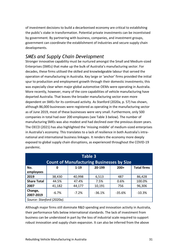of investment decisions to build a decarbonised economy are critical to establishing the public's stake in transformation. Potential private investments can be incentivised by government. By partnering with business, companies, and investment groups, government can coordinate the establishment of industries and secure supply chain developments.

# *SMEs and Supply Chain Development*

Stronger innovative capability must be nurtured amongst the Small and Medium-sized Enterprises (SMEs) that make up the bulk of Australia's manufacturing sector. For decades, these firms utilised the skilled and knowledgeable labour that served the operation of manufacturing in Australia. Key large or 'anchor' firms provided the initial spur to production and employment growth through their domestic investments; this was especially clear when major global automotive OEMs were operating in Australia. More recently, however, many of the core capabilities of vehicle manufacturing have departed Australia. That leaves the broader manufacturing sector even more dependent on SMEs for its continued activity. As Stanford (2020a, p. 57) has shown, although 86,000 businesses were registered as operating in the manufacturing sector as of June 2019, most of these businesses were very small. Furthermore, only 500 companies in total had over 200 employees (see Table 3 below). The number of manufacturing SMEs was also modest and had declined over the previous dozen years. The OECD (2021) has also highlighted the 'missing middle' of medium-sized enterprises in Australia's economy. This translates to a lack of resilience in both Australia's intranational and international business linkages. It renders the economy more deeply exposed to global supply chain disruptions, as experienced throughout the COVID-19 pandemic.

| Table 3<br><b>Count of Manufacturing Businesses by Size</b> |          |          |          |          |                    |  |  |
|-------------------------------------------------------------|----------|----------|----------|----------|--------------------|--|--|
| No.<br>employees                                            | 0        | $1 - 19$ | 20-199   | $200+$   | <b>Total firms</b> |  |  |
| 2019                                                        | 38,430   | 40,998   | 6,513    | 487      | 86,428             |  |  |
| <b>Share Total</b>                                          | 44.5%    | 47.4%    | 7.5%     | 0.6%     | 100.0%             |  |  |
| 2007                                                        | 41,182   | 44,177   | 10,191   | 756      | 96,306             |  |  |
| Change,<br>2007-2019                                        | $-6.7\%$ | $-7.2%$  | $-36.1%$ | $-35.6%$ | $-10.3%$           |  |  |
| Source: Stanford (2020a).                                   |          |          |          |          |                    |  |  |

Although major firms still dominate R&D spending and innovation activity in Australia, their performance falls below international standards. The lack of investment from business can be understood in part by the loss of industrial scale required to support robust innovation and supply chain expansion. It can also be inferred from the above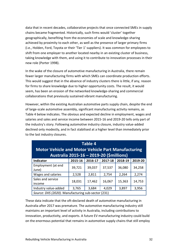data that in recent decades, collaborative projects that once connected SMEs in supply chains became fragmented. Historically, such firms would 'cluster' together geographically, benefiting from the economies of scale and knowledge-sharing achieved by proximity to each other, as well as the presence of larger primary firms (i.e., Holden, Ford, Toyota or their 'Tier 1' suppliers). It was common for employees to shift from one employer to another located nearby in an existing cluster of business, taking knowledge with them, and using it to contribute to innovation processes in their new role (Porter 1998).

In the wake of the closure of automotive manufacturing in Australia, there remain fewer larger manufacturing firms with which SMEs can coordinate production efforts. This would suggest that in the absence of industry clusters there is little, if any, reason for firms to share knowledge due to higher opportunity costs. The result, it would seem, has been an erosion of the networked knowledge-sharing and commercial collaborations that previously sustained vibrant manufacturing.

However, within the existing Australian automotive parts supply chain, despite the end of large-scale automotive assembly, significant manufacturing activity remains, as Table 4 below indicates. The obvious and expected decline in employment, wages and salaries and sales and service income between 2015-16 and 2019-20 tells only part of the industry's story. Following automotive industry closure, industry value-added declined only modestly, and in fact stabilised at a higher level than immediately prior to the last industry closures.

| <b>Table 4</b><br><b>Motor Vehicle and Motor Vehicle Part Manufacturing</b><br>Australia 2015-16 - 2019-20 (Smillions) |         |         |         |         |         |  |  |  |
|------------------------------------------------------------------------------------------------------------------------|---------|---------|---------|---------|---------|--|--|--|
| Indicator                                                                                                              | 2015-16 | 2016-17 | 2017-18 | 2018-19 | 2019-20 |  |  |  |
| Employment (at end<br>June)                                                                                            | 39,721  | 39,037  | 37,537  | 36,080  | 34,258  |  |  |  |
| Wages and salaries                                                                                                     | 2,528   | 2,811   | 2,754   | 2,264   | 2,274   |  |  |  |
| Sales and service<br>income                                                                                            | 18,031  | 17,462  | 16,067  | 15,363  | 14,753  |  |  |  |
| Industry value-added                                                                                                   | 3,765   | 3,684   | 4,029   | 3,897   | 3,956   |  |  |  |
| Source: DIIS (2020). Manufacturing sub-sector (231)                                                                    |         |         |         |         |         |  |  |  |

These data indicate that the oft-declared death of automotive manufacturing in Australia after 2017 was premature. The automotive manufacturing industry still maintains an important level of activity in Australia, including contributions to innovation, productivity, and exports. A future EV manufacturing industry could build on the enormous potential that remains in automotive supply chains that still employ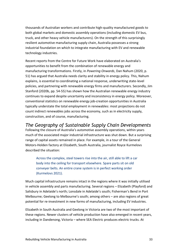thousands of Australian workers and contribute high-quality manufactured goods to both global markets and domestic assembly operations (including domestic EV bus, truck, and other heavy vehicle manufacturers). On the strength of this surprisingly resilient automotive manufacturing supply chain, Australia possesses a strong industrial foundation on which to integrate manufacturing with EV and renewable technology industries.

Recent reports from the Centre for Future Work have elaborated on Australia's opportunities to benefit from the combination of renewable energy and manufacturing transformations. Firstly, in *Powering Onwards*, Dan Nahum (2020, p. 51) has argued that Australia needs clarity and stability in energy policy. This, Nahum explains, is essential to coordinating a national response, underwriting state-level policies, and partnering with renewable energy firms and manufacturers. Secondly, Jim Stanford (2020b, pp. 54-55) has shown how the Australian renewable energy industry continues to expand despite uncertainty and inconsistency in energy policy. Moreover, conventional statistics on renewable energy job-creation opportunities in Australia typically understate the total employment in renewables: most projections do not count indirect renewables jobs across the economy, such as in electricity supply, construction, and of course, manufacturing.

*The Geography of Sustainable Supply Chain Developments* Following the closure of Australia's automotive assembly operations, within years much of the associated major industrial infrastructure was shut down. But a surprising range of capital assets remained in place. For example, in a tour of the General Motors-Holden factory at Elizabeth, South Australia, journalist Royce Kurmelovs described the situation:

Across the complex, steel towers rise into the air, still able to lift a car body into the ceiling for transport elsewhere. Spare parts sit on old conveyer belts. An entire crane system is in perfect working order (Kurmelovs 2021).

Much capital infrastructure remains intact in the regions where it was initially utilised in vehicle assembly and parts manufacturing. Several regions – Elizabeth (Playford) and Salisbury in Adelaide's north; Lonsdale in Adelaide's south; Fisherman's Bend in Port Melbourne; Geelong to Melbourne's south; among others – are also regions of great potential for re-investment in new forms of manufacturing, including EV industries.

Elizabeth in South Australia and Geelong in Victoria are two of the most important of these regions. Newer clusters of vehicle production have also emerged in recent years, including in Dandenong, Victoria – where SEA Electric produces electric trucks. At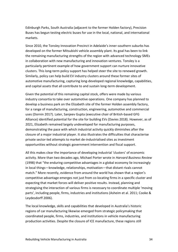Edinburgh Parks, South Australia (adjacent to the former Holden factory), Precision Buses has begun testing electric buses for use in the local, national, and international markets.

Since 2010, the Tonsley Innovation Precinct in Adelaide's inner-southern suburbs has developed on the former Mitsubishi vehicle assembly plant. Its goal has been to link the remaining manufacturing strengths of the region with advanced technology SMEs in collaboration with new manufacturing and innovation ventures. Tonsley is a particularly pertinent example of how government support can nurture innovative clusters. This long-term policy support has helped steer the site to renewed growth. Similarly, policy can help build EV industry clusters around these former sites of automotive manufacturing, capturing long-developed regional knowledge, capabilities, and capital assets that all contribute to and sustain long-term development.

Given the potential of this remaining capital stock, offers were made by various industry consortia to take over automotive operations. One company has planned to develop a business park on the Elizabeth site of the former Holden assembly factory, for a range of manufacturing, construction, engineering, automotive and commercial uses (Dornin 2017). Later, Sanjeev Gupta (executive chair of British-based GFG Alliance) identified potential for the site for building EVs (Davies 2018). However, as of 2021, Elizabeth remained largely undeveloped for manufacturing purposes, demonstrating the pace with which industrial activity quickly diminishes after the closure of a major industrial player. It also illustrates the difficulties that characterise private sector-led attempts to market de-industrialised sites as investment opportunities without strategic government intervention and fiscal support.

All this makes clear the importance of developing industrial 'clusters' of economic activity. More than two decades ago, Michael Porter wrote in *Harvard Business Review* (1998) that "the enduring competitive advantages in a global economy lie increasingly in local things—knowledge, relationships, motivation—that distant rivals cannot match." More recently, evidence from around the world has shown that a region's competitive advantage emerges not just from co-locating firms in a specific cluster and expecting that market forces will deliver positive results. Instead, planning and strategising the interaction of various firms is necessary to coordinate multiple 'moving parts', including people, firms, industries and institutions (Asheim et al. 2011; Cooke & Leydesdorff 2006).

The local knowledge, skills and capabilities that developed in Australia's historic regions of car manufacturing likewise emerged from strategic policymaking that coordinated people, firms, industries, and institutions in vehicle manufacturing production activities. Despite the closure of ICE manufacture, these regions still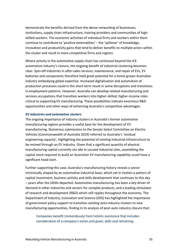demonstrate the benefits derived from the dense networking of businesses, institutions, supply chain infrastructure, training providers and communities of highskilled workers. The economic activities of individual firms and workers within them continue to contribute to 'positive externalities' – the 'spillover' of knowledge, innovation and productivity gains that tend to deliver benefits to multiple actors within the cluster and result in more competitive firms and regions.

Where activity in the automotive supply chain has continued beyond the ICE automotive industry's closure, the ongoing benefit of industrial clustering becomes clear. Spin-off industries in after-sales services, maintenance, and repair of EVs, EV batteries and components therefore hold great potential for a home-grown Australian industry embodying global expertise. Increased digitalisation and automation of production processes could in the short-term result in some disruptions and transitions in employment patterns. However, Australia can develop related manufacturing and services occupations that transition workers into higher-skilled, higher-income roles critical to supporting EV manufacturing. These possibilities indicate enormous R&D opportunities and other ways of enhancing Australia's competitive advantages.

#### *EV industries and automotive clusters*

The ongoing importance of industry clusters in Australia's former automotive manufacturing regions provides a useful base for the development of EV manufacturing. Numerous submissions to the Senate Select Committee on Electric Vehicles (Commonwealth of Australia 2019) referred to Australia's 'residual engineering capacity', highlighting the potential of existing industrial infrastructure to be revived through an EV industry. Given that a significant quantity of physical manufacturing capital currently sits idle in unused industrial sites, assembling the capital stock required to build an Australian EV manufacturing capability could have a significant head start.

Further supporting this case, Australia's manufacturing history reveals a sector intrinsically shaped by an automotive industrial base, which set in motion a pattern of capital investment, business activity and skills development that continues to this day – years after the OEMs departed. Automotive manufacturing has been a key driver of demand in other industries and sectors for complex products, and a leading stimulator of research and development (R&D) which still ripples throughout the economy. The Department of Industry, Innovation and Science (DIIS) has highlighted the importance of government policy support to transition existing auto industry clusters to new manufacturing opportunities, finding in its analysis of post-auto industry closure that:

Companies benefit tremendously from holistic assistance that includes: consideration of a company's vision and goals; skills and retraining;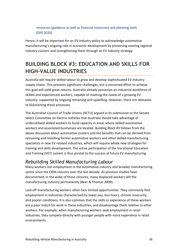#### resources (guidance as well as financial resources) and planning tools (DIIS 2020).

Hence, it will be important for an EV industry policy to acknowledge automotive manufacturing's ongoing role in economic development by preserving existing regional industry clusters and strengthening them through an EV industry strategy.

# <span id="page-35-0"></span>**BUILDING BLOCK #3: EDUCATION AND SKILLS FOR HIGH-VALUE INDUSTRIES**

Australia will require skilled labour to grow and develop sophisticated EV industry supply chains. This presents significant challenges, but a concerted effort to achieve this goal will yield great returns. Australia already possesses an industrial workforce of skilled and experienced workers, capable of meeting the needs of a growing EV industry, supported by ongoing retraining and upskilling. However, there are obstacles to kickstarting these processes.

The Australian Council of Trade Unions (ACTU) argued in its submission to the Senate Select Committee on Electric Vehicles that Australia should take advantage of underutilised skilled workers to build capacity in areas where skilled automotive workers and associated businesses are located. Building Block #3 follows from the above discussion about automotive clusters and the benefits that can be derived from retraining and reskilling former automotive workers and other skilled manufacturing specialists in new EV-related industries, which will require whole new strategies for training and skills development. The active participation of the Vocational Education and Training (VET) system is thus pivotal to the success of future EV manufacturing.

# *Rebuilding Skilled Manufacturing Labour*

Many workers lost employment in the automotive industry and broader manufacturing sector since the OEM closures over the last decade. As previous studies have documented, in the wake of those closures, many displaced workers left the manufacturing industry permanently (Beer & Thomas 2009).

Laid-off manufacturing workers often face limited opportunities. They commonly find employment in industries characterised by lower pay, less hours, chronic insecurity, and poorer conditions. It is also common that the skills or experience of these workers are a poor match for work in these industries, and disadvantage them relative to other workers. For example, when manufacturing workers seek employment in retail industries, they compete directly with younger people with more experience in retail environments.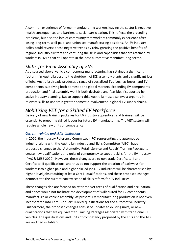A common experience of former manufacturing workers leaving the sector is negative health consequences and barriers to social participation. This reflects the preceding problems, but also the loss of community that workers commonly experience after losing long-term, well-paid, and unionised manufacturing positions. An EV industry policy could reverse these negative trends by reinvigorating the positive benefits of regional industry clusters and capturing the skills and capabilities that are retained by workers in SMEs that still operate in the post-automotive manufacturing sector.

# *Skills for Final Assembly of EVs*

As discussed above, vehicle components manufacturing has retained a significant footprint in Australia despite the shutdown of ICE assembly plants and a significant loss of jobs. Australia already produces a range of specialised EVs (such as buses) and EV components, supplying both domestic and global markets. Expanding EV components production and final assembly work is both desirable and feasible, if supported by active industry planning. But to support this, Australia must also invest urgently in relevant skills to underpin greater domestic involvement in global EV supply chains.

# *Mobilising VET for a Skilled EV Workforce*

Delivery of new training packages for EV industry apprentices and trainees will be essential to preparing skilled labour for future EV manufacturing. The VET system will require whole new units of competency.

#### *Current training and skills limitations*

In 2020, the Industry Reference Committee (IRC) representing the automotive industry, along with the Australian Industry and Skills Committee (AISC), have proposed changes to the 'Automotive Retail, Service and Repair' Training Package to create new qualifications and units of competency to support skills for the EV industry (PwC & DESE 2020). However, these changes are to non-trade Certificate II and Certificate III qualifications, and thus do not support the creation of pathways for workers into higher-paid and higher-skilled jobs. EV industries will be characterised by higher-level jobs requiring at least Cert III qualifications, and these proposed changes demonstrate the current narrow scope of skills reform for EV industries.

These changes also are focused on after-market areas of qualification and occupation, and hence would not facilitate the development of skills suited for EV components manufacture or vehicle assembly. At present, EV manufacturing production is not even incorporated into Cert II- or Cert III-level qualifications for the automotive industry. Furthermore, the proposed changes consist of updates to existing units, or new qualifications that are equivalent to Training Packages associated with traditional ICE vehicles. The qualifications and units of competency proposed by the IRCs and the AISC are outlined in Table 5.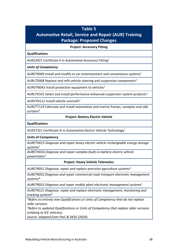### **Table 5**

# **Automotive Retail, Service and Repair (AUR) Training Package: Proposed Changes**

**Project: Accessory Fitting**

#### **Qualifications**

AUR22021 Certificate II in Automotive Accessory Fitting<sup>1</sup>

*Units of Competency*

AURETR049 Install and modify in-car entertainment and convenience systems<sup>1</sup>

AURLTD008 Replace and refit vehicle steering and suspension components<sup>1</sup>

AURVTN043 Install protection equipment to vehicles<sup>1</sup>

AURLTD101 Select and install performance enhanced suspension system products<sup>2</sup>

AURVTN112 Install vehicle sunroofs<sup>2</sup>

AURVTT119 Fabricate and install automotive and marine frames, canopies and side curtains<sup>2</sup>

#### **Project: Battery Electric Vehicle**

#### **Qualifications**

AUR37321 Certificate III in Automotive Electric Vehicle Technology<sup>1</sup>

#### **Units of Competency**

*AURETH015 Diagnose and repair heavy electric vehicle rechargeable energy storage systems*<sup>1</sup>

*AURETH016 Diagnose and repair complex faults in battery electric vehicle powertrains*<sup>1</sup>

#### **Project: Heavy Vehicle Telematics**

*AURETR051 Diagnose, repair and replace precision agriculture systems*<sup>1</sup>

*AURETR052 Diagnose and repair commercial road transport electronic management systems*\*

*AURETR053 Diagnose and repair mobile plant electronic management systems*<sup>1</sup>

*AURETR121 Diagnose, repair and replace electronic management, monitoring and tracking systems*<sup>2</sup>

*<sup>1</sup>Refers to entirely new Qualifications or Units of Competency that do not replace older versions*

*<sup>2</sup>Refers to updated Qualifications or Units of Competency that replace older versions (relating to ICE vehicles).*

*Source: adapted from PwC & DESE (2020).*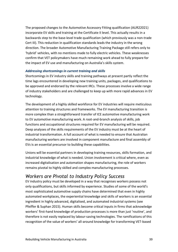The proposed changes to the Automotive Accessory Fitting qualification (AUR22021) incorporate EV skills and training at the Certificate II level. This actually results in a backwards step to the base-level trade qualification (which previously was a non-trade Cert III). This reduction in qualification standards leads the industry in the wrong direction. The broader Automotive Manufacturing Training Package still refers only to 'hybrid' vehicles, with no mentions made to fully electric vehicles. These weaknesses confirm that VET policymakers have much remaining work ahead to fully prepare for the impact of EV use and manufacturing on Australia's skills system.

#### *Addressing shortcomings in current training and skills*

Shortcomings in EV industry skills and training pathways at present partly reflect the time lags encountered in developing new training units, packages, and qualifications to be approved and endorsed by the relevant IRCs. These processes involve a wide range of industry stakeholders and are challenged to keep up with more rapid advances in EV technology.

The development of a highly skilled workforce for EV industries will require meticulous attention to training structures and frameworks. The EV manufacturing transition is more complex than a straightforward transfer of ICE automotive manufacturing work to EV automotive manufacturing work. A root-and-branch analysis of skills, job functions and occupational structures required for EV manufacturing will be required. Deep analyses of the skills requirements of the EV industry must be at the heart of industrial transformation. A full account of what is needed to ensure that Australian manufacturing workers are involved in component manufacture and final assembly of EVs is an essential precursor to building these capabilities.

Unions will be essential partners in developing training resources, skills formation, and industrial knowledge of what is needed. Union involvement is critical where, even as increased digitalisation and automation shapes manufacturing, the role of workers remains pivotal to highly skilled and complex manufacturing processes.

# *Workers are Pivotal to Industry Policy Success*

EV industry policy must be developed in a way that recognises workers possess not only qualifications, but skills informed by experience. Studies of some of the world's most sophisticated automotive supply chains have determined that even in highly automated workplaces, the experiential knowledge and skills of workers is an essential ingredient in highly advanced, digitalised, and automated industrial systems (see Pfeiffer & Suphan 2015). Human skills become critical inputs in firms that acknowledge workers' first-hand knowledge of production processes is more than just 'routine', and therefore is not easily replaced by labour-saving technologies. The ramifications of this recognition of the value of workers' all-around knowledge for transforming VET-based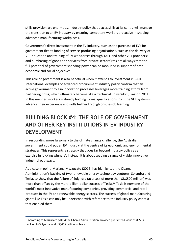skills provision are enormous. Industry policy that places skills at its centre will manage the transition to an EV industry by ensuring competent workers are active in shaping advanced manufacturing workplaces.

Government's direct investment in the EV industry, such as the purchase of EVs for government fleets; funding of service-producing organisations, such as the delivery of VET education and training of EV workforces through TAFE and other VET providers; and purchasing of goods and services from private sector firms are all ways that the full potential of government spending power can be mobilised in support of both economic and social objectives.

This role of government is also beneficial when it extends to investment in R&D. International examples of advanced procurement industry policy confirm that an active government role in innovation processes leverages more training efforts from partnering firms, which ultimately become like a 'technical university' (Eliasson 2011). In this manner, workers – already holding formal qualifications from the VET system – advance their experience and skills further through on-the-job learning.

# <span id="page-39-0"></span>**BUILDING BLOCK #4: THE ROLE OF GOVERNMENT AND OTHER KEY INSTITUTIONS IN EV INDUSTRY DEVELOPMENT**

In responding more fulsomely to the climate change challenge, the Australian government could put an EV industry at the centre of its economic and environmental strategies. This represents a strategy that goes far beyond industry policy as an exercise in 'picking winners'. Instead, it is about seeding a range of viable innovative industrial pathways.

As a case in point, Mariana Mazzucato (2015) has highlighted the Obama Administration's backing of two renewable energy technology ventures, Solyndra and Tesla, to show that the failure of Solyndra (at a cost of more than \$US500 million) was more than offset by the multi-billion-dollar success of Tesla. <sup>12</sup> Tesla is now one of the world's most innovative manufacturing companies, providing commercial and retail products in the EV and renewable energy sectors. The success of global manufacturing giants like Tesla can only be understood with reference to the industry policy context that enabled them.

 $12$  According to Mazzucato (2015) the Obama Administration provided guaranteed loans of US\$535 million to Solyndra, and US\$465 million to Tesla.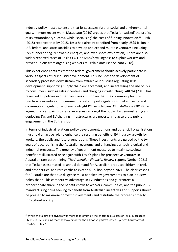Industry policy must also ensure that its successes further social and environmental goals. In more recent work, Mazzucato (2019) argues that Tesla 'privatised' the profits of its extraordinary success, while 'socialising' the costs of funding innovation.<sup>13</sup> Hirsh (2015) reported that by 2015, Tesla had already benefited from nearly US\$5 billion in U.S. federal and state subsidies to develop and expand multiple ventures (including EVs, tunnel boring, renewable energies, and even space exploration). There are also widely reported cases of Tesla CEO Elon Musk's willingness to exploit workers and prevent unions from organising workers at Tesla plants (see Sainato 2018).

This experience confirms that the federal government should actively participate in various aspects of EV industry development. This includes the development of secondary processes downstream from extractive industries regulating skills development, supporting supply chain enhancement, and incentivising the use of EVs by consumers (such as sales incentives and charging infrastructure). ARENA (2018) has reviewed EV policies in other countries and shown that they commonly feature purchasing incentives, procurement targets, import regulations, fuel efficiency and consumption regulation and even outright ICE vehicle bans. ClimateWorks (2018) has argued that campaigns to raise awareness amongst the public, by demonstrating and deploying EVs and EV charging infrastructure, are necessary to accelerate public engagement in the EV transition.

In terms of industrial relations policy development, unions and other civil organisations must hold an active role to enhance the resulting benefits of EV industry growth for workers, the public and future generations. These investments are guided by the twin goals of decarbonising the Australian economy and enhancing our technological and industrial prospects. The urgency of government measures to maximise societal benefit are illustrated once again with Tesla's plans for prospective ventures in Australian rare earth mining. The *Australian Financial Review* reports (Greber 2021) that Tesla has estimated its annual demand for Australian-produced lithium, nickel, and other critical and rare earths to exceed \$1 billion beyond 2021. The clear lessons for Australia are that due diligence must be taken by governments to plan industry policy that builds competitive advantage in EV industries and guarantees a proportionate share in the benefits flows to workers, communities, and the public. EV manufacturing firms seeking to benefit from Australian incentives and supports should be pressed to maximise domestic investments and distribute the proceeds broadly throughout society.

<sup>&</sup>lt;sup>13</sup> While the failure of Solyndra was more than offset by the enormous success of Tesla. Mazzucato (2015, p. 12) explains that "Taxpayers footed the bill for Solyndra's losses – yet got hardly any of Tesla's profits."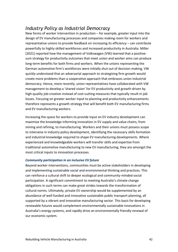# *Industry Policy as Industrial Democracy*

New forms of worker intervention in production – for example, greater input into the design of EV manufacturing processes and companies making room for workers and representative unions to provide feedback on increasing its efficiency – can contribute powerfully to highly skilled workforces and increased productivity in Australia. Miller (2021) reported how the management of Volkswagen (VW) learned that a positivesum strategy for productivity outcomes that meet union and worker aims can produce long-term benefits for both firms and workers. When the unions representing the German automotive firm's workforces were initially shut out of decision-making, VW quickly understood that an adversarial approach to strategising firm growth would create more problems than a cooperative approach that embraces union industrial democracy. Hence, more recently, union representatives have collaborated with VW management to develop a 'shared vision' for EV productivity and growth driven by high-quality job-creation instead of cost-cutting measures that typically result in job losses. Focusing on greater worker input to planning and productivity enhancements therefore represents a growth strategy that will benefit both EV manufacturing firms and EV manufacturing workers.

Increasing the space for workers to provide input on EV industry development can maximise the knowledge informing innovation in EV supply and value chains, from mining and refining, to manufacturing. Workers and their unions must possess scope to intervene in industry policy development, identifying the necessary skills formation and industrial knowledge required to shape EV manufacturing developments. Where experienced and knowledgeable workers will transfer skills and expertise from traditional automotive manufacturing to new EV manufacturing, they are amongst the most critical inputs to innovation processes.

#### *Community participation in an inclusive EV future*

Beyond worker interventions, communities must be active stakeholders in developing and implementing sustainable social and environmental thinking and practices. This can reinforce a cultural shift to deeper ecological and community-minded social participation. A significant commitment to meeting Australia's climate change obligations in such terms can make great strides towards the transformation of cultural norms. Ultimately, private EV ownership would be supplemented by an abundance of well-funded and innovative sustainable public transport planning, all supported by a vibrant and innovative manufacturing sector. This basis for developing renewable futures would complement environmentally sustainable innovations in Australia's energy systems, and rapidly drive an environmentally friendly renewal of our economic system.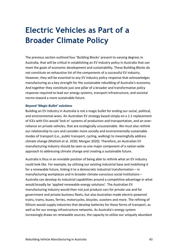# <span id="page-42-0"></span>**Electric Vehicles as Part of a Broader Climate Policy**

The previous section outlined four 'Building Blocks' present to varying degrees in Australia, that will be critical in establishing an EV industry policy in Australia that can meet the goals of economic development and sustainability. These Building Blocks do not constitute an exhaustive list of the components of a successful EV industry. However, they will be essential to any EV industry policy response that acknowledges manufacturing as a key strength for the sustainable rebuilding of Australia's economy. And together they constitute just one pillar of a broader and transformative policy response required to lead our energy systems, transport infrastructure, and societal norms toward a more sustainable future.

#### *Beyond 'Magic Bullet' solutions*

Building an EV industry in Australia is not a magic bullet for ending our social, political, and environmental woes. An Australian EV strategy based simply on a 1:1 replacement of ICEs with EVs would 'lock in' systems of production and transportation, and an overreliance on private vehicles, that are ecologically unsustainable. We must also rethink our relationship to cars and consider more socially and environmentally sustainable modes of transport (i.e., public transport, cycling, walking) to meaningfully address climate change (Mattioli et al. 2020; Morgan 2020). Therefore, an Australian EV manufacturing industry should be seen as one major component of a nation-wide approach to addressing climate change and creating a sustainable future.

Australia is thus in an enviable position of being able to rethink what an EV industry could look like. For example, by utilising our existing industrial base and mobilising it for a renewable future, linking it to a democratic industrial transformation – in manufacturing workplaces and in broader climate-conscious social institutions – Australia can develop its industrial capabilities around a competitive advantage in what would broadly be 'applied renewable energy solutions'. The Australian EV manufacturing industry would then not just produce cars for private use and for government and private business fleets, but also Australian-made electric-powered trains, trams, buses, ferries, motorcycles, bicycles, scooters and more. The refining of lithium would supply industries that develop batteries for these forms of transport, as well as for our energy infrastructure networks. As Australia's energy system increasingly draws on renewable sources, the capacity to utilise our uniquely abundant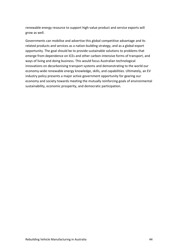renewable energy resource to support high-value product and service exports will grow as well.

Governments can mobilise and advertise this global competitive advantage and its related products and services as a nation-building strategy, and as a global export opportunity. The goal should be to provide sustainable solutions to problems that emerge from dependence on ICEs and other carbon-intensive forms of transport, and ways of living and doing business. This would focus Australian technological innovations on decarbonising transport systems and demonstrating to the world our economy-wide renewable energy knowledge, skills, and capabilities. Ultimately, an EV industry policy presents a major active government opportunity for gearing our economy and society towards meeting the mutually reinforcing goals of environmental sustainability, economic prosperity, and democratic participation.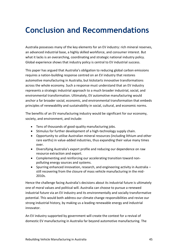# <span id="page-44-0"></span>**Conclusion and Recommendations**

Australia possesses many of the key elements for an EV industry: rich mineral reserves, an advanced industrial base, a highly skilled workforce, and consumer interest. But what it lacks is an overarching, coordinating and strategic national industry policy. Global experience shows that industry policy is central to EV industrial success.

This paper has argued that Australia's obligation to reducing global carbon emissions requires a nation-building response centred on an EV industry that restores automotive manufacturing in Australia, but kickstarts innovative transformations across the whole economy. Such a response must understand that an EV industry represents a strategic industrial approach to a much broader industrial, social, and environmental transformation. Ultimately, EV automotive manufacturing would anchor a far broader social, economic, and environmental transformation that embeds principles of renewability and sustainability in social, cultural, and economic norms.

The benefits of an EV manufacturing industry would be significant for our economy, society, and environment, and include:

- Tens of thousands of good-quality manufacturing jobs.
- Stimulus for further development of a high-technology supply chain.
- Opportunity to utilise Australian mineral resources (including lithium and other rare earths) in value-added industries, thus expanding their value many times over.
- Diversifying Australia's export profile and reducing our dependence on raw resource extraction and export.
- Complementing and reinforcing our accelerating transition toward nonpolluting energy sources and systems.
- Spurring enhanced innovation, research, and engineering activity in Australia still recovering from the closure of mass vehicle manufacturing in the mid-2010s.

Hence the challenge facing Australia's decisions about its industrial future is ultimately one of moral values and political will. Australia can choose to pursue a renewed industrial future via an EV industry and its environmentally and socially transformative potential. This would both address our climate change responsibilities and revive our strong industrial history, by making us a leading renewable energy and industrial innovator.

An EV industry supported by government will create the context for a revival of domestic EV manufacturing in Australia far beyond automotive manufacturing. The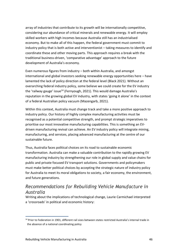array of industries that contribute to its growth will be internationally competitive, considering our abundance of critical minerals and renewable energy. It will employ skilled workers with high incomes because Australia still has an industrialised economy. But to make all of this happen, the federal government must commit to industry policy that is both active and interventionist – taking measures to identify and coordinate these and other moving parts. This approach requires a break with the traditional business-driven, 'comparative advantage' approach to the future development of Australia's economy.

Even numerous figures from industry – both within Australia, and amongst international and global investors seeking renewable energy opportunities here – have lamented the lack of policy direction at the federal level (Black 2021). Without an overarching federal industry policy, some believe we could create for the EV industry the 'railway gauge' issue<sup>14</sup> (Fernyough, 2021). This would damage Australia's reputation in the growing global EV industry, with states 'going it alone' in the context of a federal Australian policy vacuum (Mazengarb, 2021).

Within this context, Australia must change track and take a more positive approach to industry policy. Our history of highly complex manufacturing activities must be recognised as a potential competitive strength, and prompt strategic imperatives to prioritise our most innovative manufacturing capabilities. This is something an EVdriven manufacturing revival can achieve. An EV industry policy will integrate mining, manufacturing, and services, placing advanced manufacturing at the centre of our sustainable future.

Thus, Australia faces political choices on its road to sustainable economic transformation. Australia can make a valuable contribution to the rapidly growing EV manufacturing industry by strengthening our role in global supply and value chains for public and private focused EV transport solutions. Governments and policymakers must make better political choices by accepting the strategic nature of industry policy for Australia to meet its moral obligations to society, a fair economy, the environment, and future generations.

# *Recommendations for Rebuilding Vehicle Manufacture in Australia*

Writing about the implications of technological change, Laurie Carmichael interpreted a 'crossroads' in political and economic history:

<sup>&</sup>lt;sup>14</sup> Prior to Federation in 1901, different rail sizes between states restricted Australia's internal trade in the absence of a national coordinating policy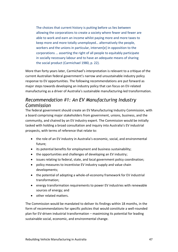The choices that current history is putting before us lies between allowing the corporations to create a society where fewer and fewer are able to work and earn an income whilst paying more and more taxes to keep more and more totally unemployed… alternatively the people, workers and the unions in particular, interven[e] in opposition to the corporations … asserting the right of all people to equitably participate in socially necessary labour and to have an adequate means of sharing the social product (Carmichael 1980, p. 22).

More than forty years later, Carmichael's interpretation is relevant to a critique of the current Australian federal government's narrow and unsustainable industry policy response to EV opportunities. The following recommendations are put forward as major steps towards developing an industry policy that can focus on EV-related manufacturing as a driver of Australia's sustainable manufacturing-led transformation.

# *Recommendation #1: An EV Manufacturing Industry Commission*

The federal government should create an EV Manufacturing Industry Commission, with a board comprising major stakeholders from government, unions, business, and the community, and chaired by an EV industry expert. The Commission would be initially tasked with holding a broad consultation and inquiry into Australia's EV industrial prospects, with terms of reference that relate to:

- the role of an EV industry in Australia's economic, social, and environmental future;
- its potential benefits for employment and business sustainability;
- the opportunities and challenges of developing an EV industry;
- issues relating to federal, state, and local government policy coordination;
- policy measures to incentivise EV industry supply and value chain developments;
- the potential of adopting a whole-of-economy framework for EV industrial transformation;
- energy transformation requirements to power EV industries with renewable sources of energy; and
- other related matters.

The Commission would be mandated to deliver its findings within 18 months, in the form of recommendations for specific policies that would constitute a well-rounded plan for EV-driven industrial transformation – maximising its potential for leading sustainable social, economic, and environmental change.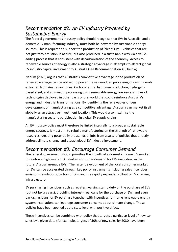# *Recommendation #2: An EV Industry Powered by Sustainable Energy*

The federal government's industry policy should recognise that EVs in Australia, and a domestic EV manufacturing industry, must both be powered by sustainable energy sources. This is required to support the production of 'clean' EVs – vehicles that are not just zero-emission in nature, but also produced in a sustainable way via a valueadding process that is consistent with decarbonisation of the economy. Access to renewable sources of energy is also a strategic advantage in attempts to attract global EV industry capital investment to Australia (see Recommendation #8, below).

Nahum (2020) argues that Australia's competitive advantage in the production of renewable energy can be utilised to power the value-added processing of raw minerals extracted from Australian mines. Carbon-neutral hydrogen production, hydrogenbased steel, and aluminium processing using renewable energy are key examples of technologies deployed in other parts of the world that could reinforce Australia's energy and industrial transformations. By identifying the renewables-driven development of manufacturing as a competitive advantage, Australia can market itself globally as an attractive investment location. This would also maximise the manufacturing sector's participation in global EV supply chains.

An EV industry policy must therefore be linked integrally to a broader sustainable energy strategy. It must aim to rebuild manufacturing on the strength of renewable resources, creating potentially thousands of jobs from a suite of policies that directly address climate change and attract global EV industry investment.

# *Recommendation #3: Encourage Consumer Demand*

The federal government should prioritise the growth of a domestic 'home' EV market to reinforce high levels of Australian consumer demand for EVs (including, in the future, Australian-made EVs). The faster development of the local consumer market for EVs can be accelerated through key policy instruments including sales incentives, emissions regulations, carbon pricing and the rapidly expanded rollout of EV charging infrastructure.

EV purchasing incentives, such as rebates, waiving stamp duty on the purchase of EVs (but not luxury cars), providing interest-free loans for the purchase of EVs, and even packaging loans for EV purchase together with incentives for home renewable energy system installation, can leverage consumer concerns about climate change. These policies have been applied at the state level with positive effect.

These incentives can be combined with policy that targets a particular level of new car sales by a given date (for example, targets of 50% of new sales by 2030 have been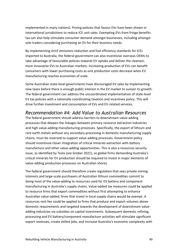implemented in many nations). Pricing policies that favour EVs have been shown in international jurisdictions to reduce ICE unit sales. Exempting EVs from fringe benefits tax can also help stimulate consumer demand amongst businesses, including amongst sole traders considering purchasing an EV for their business needs.

By implementing strict emissions reduction and fuel efficiency standards for ICEs imported to Australia, the federal government can also incentivise overseas OEMs to take advantage of favourable policies towards EV uptake and deliver the cleanest, most innovative EVs to Australian markets. Increasing production of EVs can benefit consumers with lower purchasing costs as unit production costs decrease when EV manufacturing reaches economies of scale.

Some Australian state-level governments have discouraged EV sales by implementing new taxes before there is enough public interest in the EV market to sustain its growth. The federal government can address the uncoordinated implementation of state-level EV tax policies with a nationally coordinating taxation and incentives policy. This will drive further investment and consumption of EVs and EV-related services.

# *Recommendation #4: Add Value to Australian Resources*

The federal government should address barriers to downstream value-adding processes that deepen the linkages between primary resource extraction industries and high value-adding manufacturing processes. Specifically, the export of lithium and rare earth metals without any secondary processing in domestic manufacturing supply chains, must be reversed to support value-adding processes. Government policy should incentivise closer integration of critical minerals extraction with battery manufacture and other value-adding opportunities. This is also a resources security issue, as identified by Tesla (see Greber 2021), so global firms demanding Australia's critical minerals for EV production should be required to invest in major elements of value-adding production processes on Australian shores.

The federal government should therefore create regulation that sees private mining interests and large-scale purchasers of Australian lithium commodities commit to doing most of the value-adding to resources used for EV battery and component manufacturing in Australia's supply chains. Value-added tax measures could be applied to resource firms that export commodities without first attempting to enhance Australian value-added; firms that invest in local supply chains would be exempt. A resources rent fee could be applied to firms that produce and export volumes above domestic requirements and targeted towards the development of downstream valueadding industries via subsidies on capital investments. Subsequent domestic refining, processing and EV battery/component manufacture activities will stimulate significant export revenues, create skilled jobs, and increase Australia's economic complexity with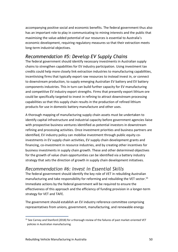accompanying positive social and economic benefits. The federal government thus also has an important role to play in communicating to mining interests and the public that maximising the value-added potential of our resources is essential to Australia's economic development, requiring regulatory measures so that their extraction meets long-term industrial objectives.

# *Recommendation #5: Develop EV Supply Chains*

The federal government should identify necessary investments in Australian supply chains to strengthen capabilities for EV industry participation. Using investment tax credits could help more closely link extraction industries to manufacturing capabilities, incentivising firms that typically export raw resources to instead invest in, or connect to downstream production, to supply emerging Australian EV battery and EV battery components industries. This in turn can build further capacity for EV manufacturing and competitive EV industry export strengths. Firms that presently export lithium ore could be specifically targeted to invest in refining to attract downstream processing capabilities so that this supply chain results in the production of refined lithium products for use in domestic battery manufacture and other uses.

A thorough mapping of manufacturing supply chain assets must be undertaken to identify capital infrastructure and industrial capacity before government agencies liaise with prospective business ventures identified as potential investors in downstream refining and processing activities. Once investment priorities and business partners are identified, EV industry policy can mobilise investment through public equity coinvestments in EV supply chain activities, EV supply chain development grants and financing, co-investment in resource industries, and by creating other incentives for business investments in supply chain growth. These and other determined objectives for the growth of value chain opportunities can be identified via a battery industry strategy that sets the direction of growth in supply chain development initiatives.

### *Recommendation #6: Invest in Essential Skills*

The federal government should identify the key role of VET in rebuilding Australian manufacturing and take responsibility for reforming and rebuilding the VET sector. 15 Immediate actions by the federal government will be required to ensure the effectiveness of this approach and the efficiency of funding provision in a longer-term strategy for VET and TAFE.

The government should establish an EV industry reference committee comprising representatives from unions, government, manufacturing, and renewable energy

<sup>&</sup>lt;sup>15</sup> See Carney and Stanford (2018) for a thorough review of the failures of past market-oriented VET policies in Australian manufacturing.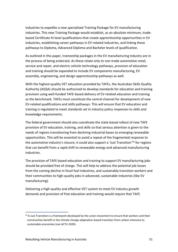industries to expedite a new specialised Training Package for EV manufacturing industries. This new Training Package would establish, as an absolute minimum, tradebased Certificate III-level qualifications that create apprenticeship opportunities in EV industries, establishing career pathways in EV-related industries, and linking these pathways to Diploma, Advanced Diploma and Bachelor levels of qualification.

As outlined in this paper, traineeship packages in the EV manufacturing industry are in the process of being endorsed. As these relate only to non-trade automotive retail, service and repair, and electric vehicle technology pathways, provision of education and training should be expanded to include EV components manufacturing, EV assembly, engineering, and design apprenticeship pathways as well.

With the highest-quality VET education provided by TAFEs, the Australian Skills Quality Authority (ASQA) should be authorised to develop standards for education and training provision using well-funded TAFE-based delivery of EV-related education and training as the benchmark. TAFEs must constitute the central channel for development of new EV-related qualifications and skills pathways. This will ensure that EV education and training is regulated to meet standards set in industry policy responses to skills and knowledge requirements.

The federal government should also coordinate the state-based rollout of new TAFE provision of EV education, training, and skills so that serious attention is given to the needs of regions transitioning from declining industrial bases to emerging renewable opportunities. This will be essential to avoid a repeat of the fragmented response to the automotive industry's closure; it could also support a 'Just Transition'<sup>16</sup> for regions that can benefit from a rapid shift to renewable energy and advanced manufacturing industries.

The provision of TAFE-based education and training to support EV manufacturing jobs should be provided free of charge. This will help to address the potential job losses from the coming decline in fossil fuel industries, and sustainably transition workers and their communities to high-quality jobs in advanced, sustainable industries (like EV manufacturing).

Delivering a high-quality and effective VET system to meet EV industry growth demands and provision of free education and training would require that TAFE

 $16$  A Just Transition is a framework developed by the union movement to ensure that workers and their communities benefit in the climate change adaptation-based transition from carbon-intensive to sustainable economies (see ACTU 2020).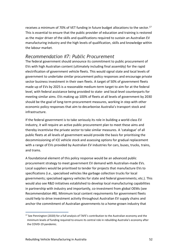receives a minimum of 70% of VET funding in future budget allocations to the sector.<sup>17</sup> This is essential to ensure that the public provider of education and training is restored as the major driver of the skills and qualifications required to sustain an Australian EV manufacturing industry and the high levels of qualification, skills and knowledge within the labour market.

### *Recommendation #7: Public Procurement*

The federal government should announce its commitment to public procurement of EVs with high Australian content (ultimately including final assembly) for the rapid electrification of government vehicle fleets. This would signal state and local levels of government to undertake similar procurement policy responses and encourage private sector business investment in their own fleets. A target of 50% of government fleets made up of EVs by 2025 is a reasonable medium-term target to aim for at the federal level, with federal assistance being provided to state- and local-level counterparts for meeting similar aims. EVs making up 100% of fleets at all levels of government by 2030 should be the goal of long-term procurement measures, working in step with other economic policy responses that aim to decarbonise Australia's transport stock and infrastructure.

If the federal government is to take seriously its role in building a world-class EV industry, it will require an active public procurement plan to meet these aims and thereby incentivise the private sector to take similar measures. A 'catalogue' of all public fleets at all levels of government would provide the basis for prioritising the decommissioning of ICE vehicle stock and assessing options for gradual replacement with a range of EVs provided by Australian EV industries for cars, buses, trucks, trains, and trams.

A foundational element of this policy response would be an advanced public procurement strategy to meet government EV demand with Australian-made EVs. Local suppliers would be prioritised to tender for projects that manufacture EVs to specifications (i.e., specialised vehicles like garbage collection trucks for local governments; specialised agency vehicles for state and federal governments; etc.). This would also see R&D initiatives established to develop local manufacturing capabilities in partnership with industry and importantly, co-investment from global OEMs (see Recommendation #8). Minimum local content requirements for government fleets could help to drive investment activity throughout Australian EV supply chains and anchor the commitment of Australian governments to a home-grown industry that

 $17$  See Pennington (2020) for a full analysis of TAFE's contribution to the Australian economy and the minimum levels of funding required to ensure its central role in rebuilding Australia's economy after the COVID-19 pandemic.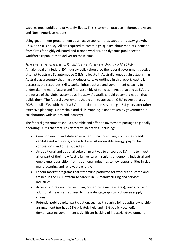supplies most public and private EV fleets. This is common practice in European, Asian, and North American nations.

Using government procurement as an active tool can thus support industry growth, R&D, and skills policy. All are required to create high-quality labour markets, demand from firms for highly educated and trained workers, and dynamic public sector workforce capabilities to deliver on these aims.

# *Recommendation #8: Attract One or More EV OEMs*

A major goal of a federal EV industry policy should be the federal government's active attempt to attract EV automotive OEMs to locate in Australia, once again establishing Australia as a country that mass-produces cars. As outlined in this report, Australia possesses the resources, skills, capital infrastructure and government capacity to undertake the manufacture and final assembly of vehicles in Australia; and as EVs are the future of the global automotive industry, Australia should become a nation that builds them. The federal government should aim to attract an OEM to Australia by 2025 to build EVs, with the first EV production processes to begin 2-3 years later (after extensive planning, supply chain and skills mapping is undertaken by government in collaboration with unions and industry).

The federal government should assemble and offer an investment package to globally operating OEMs that features attractive incentives, including:

- Commonwealth and state government fiscal incentives, such as tax credits, capital asset write-offs, access to low-cost renewable energy, payroll tax concessions, and other subsidies;
- An additional and optional suite of incentives to encourage EV firms to invest all or part of their new Australian venture in regions undergoing industrial and employment transition from traditional industries to new opportunities in clean manufacturing and renewable energy;
- Labour market programs that streamline pathways for workers educated and trained in the TAFE system to careers in EV manufacturing and services industries;
- Access to infrastructure, including power (renewable energy), roads, rail and additional measures required to integrate geographically disperse supply chains;
- Potential public capital participation, such as through a joint-capital ownership arrangement (perhaps 51% privately held and 49% publicly owned), demonstrating government's significant backing of industrial development;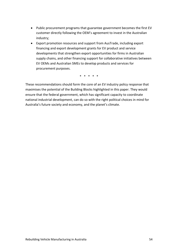- Public procurement programs that guarantee government becomes the first EV customer directly following the OEM's agreement to invest in the Australian industry;
- Export promotion resources and support from AusTrade, including export financing and export development grants for EV product and service developments that strengthen export opportunities for firms in Australian supply chains, and other financing support for collaborative initiatives between EV OEMs and Australian SMEs to develop products and services for procurement purposes.

\* \* \* \* \*

These recommendations should form the core of an EV industry policy response that maximises the potential of the Building Blocks highlighted in this paper. They would ensure that the federal government, which has significant capacity to coordinate national industrial development, can do so with the right political choices in mind for Australia's future society and economy, and the planet's climate.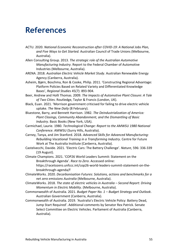# <span id="page-54-0"></span>**References**

- ACTU. 2020. *National Economic Reconstruction after COVID-19: A National Jobs Plan, and Five Ways to Get Started.* Australian Council of Trade Unions (Melbourne, Australia).
- Allen Consulting Group. 2013. *The strategic role of the Australian Automotive Manufacturing Industry*. Report to the Federal Chamber of Automotive Industries (Melbourne, Australia).
- ARENA. 2018. *Australian Electric Vehicle Market Study*. Australian Renewable Energy Agency (Canberra, Australia).
- Asheim, Bjørn, Boschma, Ron & Cooke, Philip. 2011. 'Constructing Regional Advantage: Platform Policies Based on Related Variety and Differentiated Knowledge Bases', *Regional Studies* 45(7): 893-904.
- Beer, Andrew and Holli Thomas. 2009. *The Impacts of Automotive Plant Closure: A Tale of Two Cities*. Routledge, Taylor & Francis (London, UK).
- Black, Euan. 2021. 'Morrison government criticised for failing to drive electric vehicle uptake. *The New Daily* (8 February).
- Bluestone, Barry, and Bennett Harrison. 1982. *The Deindustrialization of America: Plant Closings, Community Abandonment, and the Dismantling of Basic Industry*. Basic Books (New York, USA).
- Carmichael, Laurie. 1980. *Technological Change: Report to the AMWSU 1980 National Conference*. AMWSU (Surry Hills, Australia).
- Carney, Tanya, and Jim Stanford. 2018. *Advanced Skills for Advanced Manufacturing: Rebuilding Vocational Training in a Transforming Industry*. Centre for Future Work at The Australia Institute (Canberra, Australia).
- Castelvecchi, Davide. 2021. 'Electric Cars: The Battery Challenge'. *Nature*, 596: 336-339 (19 August).
- Climate Champions. 2021. 'COP26 World Leaders Summit: Statement on the Breakthrough Agenda'. *Race to Zero*. Accessed online: https://racetozero.unfccc.int/cop26-world-leaders-summit-statement-on-thebreakthrough-agenda/f
- ClimateWorks. 2020. *Decarbonisation Futures: Solutions, actions and benchmarks for a net zero emissions Australia* (Melbourne, Australia).
- ClimateWorks. 2018. *The state of electric vehicles in Australia – Second Report: Driving Momentum in Electric Mobility*. (Melbourne, Australia).
- Commonwealth of Australia. 2021. *Budget Paper No. 1 – Budget Strategy and Outlook*. Australian Government (Canberra, Australia).
- Commonwealth of Australia. 2019. 'Australia's Electric Vehicle Policy: Battery Dead, Jump Start Required'. Additional comments by Senator Rex Patrick. Senate Select Committee on Electric Vehicles. Parliament of Australia (Canberra, Australia).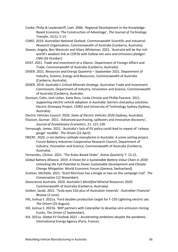- Cooke, Philip & Leydesdorff, Loet. 2006. 'Regional Development in the Knowledge-Based Economy: The Construction of Advantage', *The Journal of Technology Transfer*, 31(1): 5-15.
- CSIRO. 2019. *Australian National Outlook*. Commonwealth Scientific and Industrial Research Organisation, Commonwealth of Australia (Canberra, Australia).
- Dewan, Angela, Ben Westcott and Hilary Whiteman. 2021. 'Australia will be the rich world's weakest link at COP26 with hollow net-zero and emissions pledges'. *CNN* (26 October).
- DFAT. 2021. *Trade and Investment at a Glance.* Department of Foreign Affairs and Trade, Commonwealth of Australia (Canberra, Australia).
- DIISER. 2021. *Resources and Energy Quarterly* September 2021. Department of Industry, Science, Energy and Resources, Commonwealth of Australia (Canberra, Australia).
- DIISER. 2019. *Australia's Critical Minerals Strategy*. Australian Trade and Investment Commission, Department of Industry, Innovation and Science, Commonwealth of Australia (Canberra, Australia.
- Dunstan, Colin, Josh Usher, Katie Ross, Linda Christie and Phillip Paevere. 2011. *Supporting electric vehicle adoption in Australia: barriers and policy solutions.* Electric Driveway Project. CSIRO and University of Technology Sydney (Sydney, Australia).
- Electric Vehicles Council. 2020. *State of Electric Vehicles 2020* (Sydney, Australia).
- Eliasson, Gunnar. 2011. 'Advanced purchasing, spillovers and innovative discovery', *Journal of Evolutionary Economics*, 21: 121-139.
- Fernyough, James. 2021. 'Australia's lack of EV policy could lead to repeat of 'railway gauge' muddle'. *The Driven* (22 April).
- FBICRC. 2020. *Li-ion battery cathode manufactre in Australia: A scene setting project*. Future Battery Industries Cooperative Research Council, Department of Industry, Innovation and Science, Commonwealth of Australia (Canberra, Australia).
- Fernandes, Clinton. 2021. 'The Rules-Based Order'. *Arena Quarterly* 7: 12-21.
- Global Battery Alliance. 2019. *A Vision for a Sustainable Battery Value Chain in 2030: Unlocking the Full Potential to Power Sustainable Development and Climate Change Mitigation*. World Economic Forum (Geneva, Switzerland).
- Grattan, Michelle. 2021. 'Scott Morrison has a bingle or two on the campaign trail'. *The Conversation* (12 November).
- Geoscience Australia. 2020. *Australia's Identified Mineral Resources 2020*. Commonwealth of Australia (Canberra, Australia).
- Greber, Jacob. 2021. 'Tesla eyes \$1b-plus of Australian minerals'. *Australian Financial Review* (2 June).
- Hill, Joshua S. 2021a. 'Ford doubles production target for F-150 Lightning electric ute. *The Driven* (25 August).
- Hill, Joshua S. 2021b. 'BHP partners with Caterpillar to develop zero-emission mining trucks, *The Driven* (2 September).
- IEA. 2021a. *Global EV Outlook 2021 – Accelerating ambitions despite the pandemic*. International Energy Agency (Paris, France).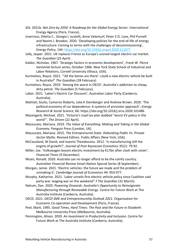- IEA. 2021b. *Net Zero by 2050: A Roadmap for the Global Energy Sector*. International Energy Agency (Paris, France).
- Invernizzi, Diletta C., Giorgio L`ocatelli, Anne Velenturf, Peter E.D. Love, Phil Purnell and Naomi J. Brookes. 2020. 'Developing policies for the end-of-life of energy infrastructure: Coming to terms with the challenges of decommissioning', *Energy Policy*, 144:<https://doi.org/10.1016/j.enpol.2020.111677>
- Jolly, Jasper. 2021. UK replaces France as Europe's sconed largest electric car market. *The Guardian* (25 April).
- Kaldor, Nicholas. 1967. 'Strategic factors in economic development', *Frank W. Pierce memorial lecture series*, October 1966. New York State School of Industrial and Labor Relations, Cornell University (Ithaca, USA).
- Kurmelovs, Royce. 2021. '"All the bones are there': could a new electric vehicle be built in Australia?' *The Guardian* (28 February).
- Kurmelovs, Royce. 2019. 'Among the worst in OECD': Australia's addiction to cheap, dirty petrol. *The Guardian* (5 February).
- Labor. 2021. 'Labor's Electric Car Discount', Australian Labor Party (Canberra, Australia).
- Mattioli, Giulio, Cameron Roberts, Julia K Steinberger and Andrew Brown. 2020. 'The political economy of car dependence: A systems of provision approach', *Energy Research & Social Science*, 66: https://doi.org/10.1016/j.erss.2020.101486
- Mazengarb, Michael. 2021. 'Victoria's road tax plan dubbed "worst EV policy in the world"'. *The Driven* (22 April).
- Mazzucato, Mariana. 2019. *The Value of Everything: Making and Taking in the Global Economy*. Penguin Press (London, UK).
- Mazzucato, Mariana. 2015. *The Entreprenurial State: Debunking Public Vs. Private Sector Myths*. Revised Edition. Public Affairs (New York, USA).
- McCausland, W David, and Ioannis Theodossiou. 2012. 'Is manufacturing still the engine of growth?', *Journal of Post Keynesian Economics* 35(1): 79-92.
- Miller, Joe. 'Volkswagen boosts electric investment by €17bn after clash with union'. *Financial Times* (9 December).
- Mizen, Ronald. 2020. Australia can no longer afford to be the comfy country. *Australian Financial Review* Smart Nation Special Series (8 September).
- Morgan, Jamie. 2021. 'Electric vehicles: the future we made and the problem of unmaking it', *Cambridge Journal of Economics* 44: 953-977.
- Murphy, Katharine. 2021. 'Labor unveils first electric vehicle policy since Coalition said party was 'waging war on the weekend''.f *The Guardian* (31 March).
- Nahum, Dan. 2020. *Powering Onwards: Australia's Opportunity to Reinvigorate Manufacturing through Renewable Energy.* Centre for Future Work at The Australia Institute (Canberra, Australia).
- OECD. 2021. *OECD SME and Entrepreneurship Outlook 2021*. Organisation for Economic Co-operation and Development (Paris, France).
- Peel, Mark. 1995. *Good Times, Hard Times: The Past and the Future in Elizabeth*. Melbourne University Press (Melbourne, Australia).
- Pennington, Alison. 2020. *An Investment in Productivity and Inclusion*. Centre for Future Work at The Australia Institute (Canberra, Australia).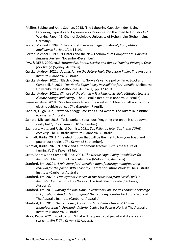- Pfeiffer, Sabine and Anne Suphan. 2015. 'The Labouring Capacity Index: Living Labouring Capacity and Experience as Resources on the Road to Industry 4.0'. Working Paper #2, Chair of Sociology, University of Hohenheim (Hohenheim, Germany).
- Porter, Michael E. 1990. 'The competitive advantage of nations', *Competitive Intelligence Review* 1(1): 14-14.
- Porter, Michael E. 1998. 'Clusters and the New Economics of Competition'. *Harvard Business Review* (November-December).
- PwC & DESE. 2020. *AUR Automotive, Retail, Service and Repair Training Package: Case for Change* (Sydney, Australia).
- Quicke, Audrey. 2021a. *Submission on the Future Fuels Discussion Paper*. The Australia Institute (Canberra, Australia).
- Quicke, Audrey. 2021b. 'Electric Dreams: Norway's vehicle policy'. In A. Scott and Campbell, R. 2021. *The Nordic Edge: Policy Possibilities for Australia*. Melbourne University Press (Melbourne, Australia). pp. 173-194.
- Quicke, Audrey. 2021c. *Climate of the Nation – Tracking Australia's attitudes towards climate change and energy*. The Australia Institute (Canberra, Australia).
- Remeikis, Amy. 2019. ''Shorten wants to end the weekend': Morrison attacks Labor's electric vehicle policy', *The Guardian* (7 April).
- Saddler, Hugh. 2021. *National Energy Emissions Audit Report*. The Australia Institute (Canberra, Australia).
- Sainato, Michael. 2018. 'Tesla workers speak out: 'Anything pro-union is shut down really fast'', *The Guardian* (10 September).
- Saunders, Matt, and Richard Denniss. 2021. *Too little too late: Gas in the COVID recovery.* The Australia Institute (Canberra, Australia).
- Schmidt, Bridie. 2021. 'The electric utes that will be the first to tow your boat, and power our tradies', *The Driven* (8 September).
- Schmidt, Bridie. 2020. 'Electric and autonomous tractors: Is this the future of farming?', *The Driven* (8 July).
- Scott, Andrew and Campbell, Rod. 2021. *The Nordic Edge: Policy Possibilities for Australia*. Melbourne University Press (Melbourne, Australia).
- Stanford, Jim. 2020a. *A fair share for Australian manufacturing: manufacturing renewal for the post-COVID economy.* Centre for Future Work at The Australia Institute (Canberra, Australia).
- Stanford, Jim. 2020b. *Employment Aspects of the Transition from Fossil Fuels in Australia*. Centre for Future Work at The Australia Institute (Canberra, Australia).
- Stanford, Jim. 2018. *Raising the Bar: How Government Can Use its Economic Leverage to Lift Labour Standards Throughout the Economy*. Centre for Future Work at The Australia Institute (Canberra, Australia).
- Stanford, Jim. 2016. *The Economic, Fiscal, and Social Importance of Aluminium Manufacturing in Portland, Victoria*. Centre for Future Work at The Australia Institute (Canberra, Australia).
- Stock, Petra. 2021. 'Road to ruin: What will happen to old petrol and diesel cars in swtich to EVs?' *The Driven* (18 August).